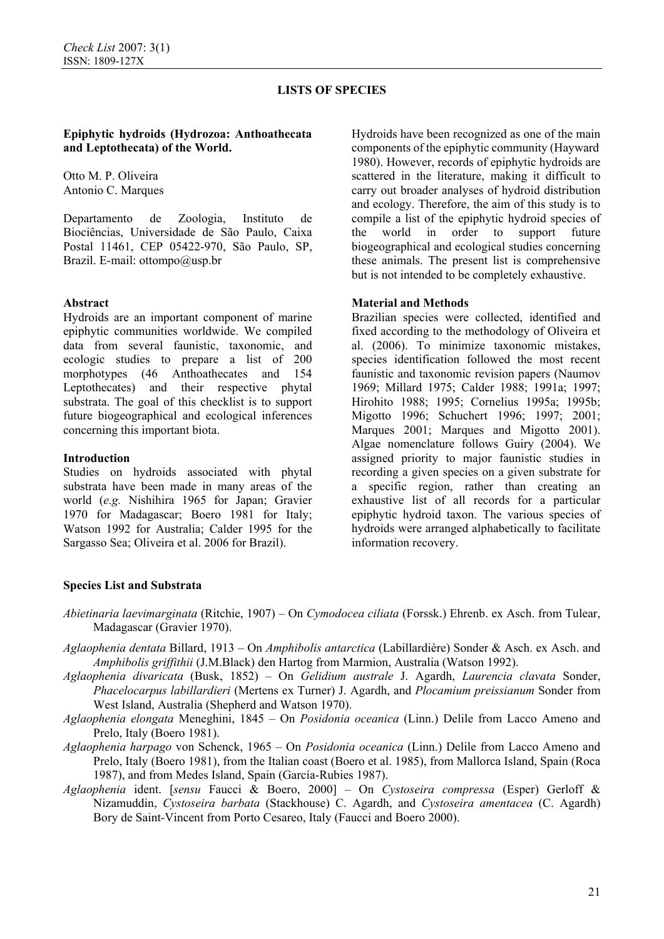### **Epiphytic hydroids (Hydrozoa: Anthoathecata and Leptothecata) of the World.**

Otto M. P. Oliveira Antonio C. Marques

Departamento de Zoologia, Instituto de Biociências, Universidade de São Paulo, Caixa Postal 11461, CEP 05422-970, São Paulo, SP, Brazil. E-mail: ottompo@usp.br

### **Abstract**

Hydroids are an important component of marine epiphytic communities worldwide. We compiled data from several faunistic, taxonomic, and ecologic studies to prepare a list of 200 morphotypes (46 Anthoathecates and 154 Leptothecates) and their respective phytal substrata. The goal of this checklist is to support future biogeographical and ecological inferences concerning this important biota.

#### **Introduction**

Studies on hydroids associated with phytal substrata have been made in many areas of the world (*e.g.* Nishihira 1965 for Japan; Gravier 1970 for Madagascar; Boero 1981 for Italy; Watson 1992 for Australia; Calder 1995 for the Sargasso Sea; Oliveira et al. 2006 for Brazil).

Hydroids have been recognized as one of the main components of the epiphytic community (Hayward 1980). However, records of epiphytic hydroids are scattered in the literature, making it difficult to carry out broader analyses of hydroid distribution and ecology. Therefore, the aim of this study is to compile a list of the epiphytic hydroid species of the world in order to support future biogeographical and ecological studies concerning these animals. The present list is comprehensive but is not intended to be completely exhaustive.

#### **Material and Methods**

Brazilian species were collected, identified and fixed according to the methodology of Oliveira et al. (2006). To minimize taxonomic mistakes, species identification followed the most recent faunistic and taxonomic revision papers (Naumov 1969; Millard 1975; Calder 1988; 1991a; 1997; Hirohito 1988; 1995; Cornelius 1995a; 1995b; Migotto 1996; Schuchert 1996; 1997; 2001; Marques 2001; Marques and Migotto 2001). Algae nomenclature follows Guiry (2004). We assigned priority to major faunistic studies in recording a given species on a given substrate for a specific region, rather than creating an exhaustive list of all records for a particular epiphytic hydroid taxon. The various species of hydroids were arranged alphabetically to facilitate information recovery.

#### **Species List and Substrata**

- *Abietinaria laevimarginata* (Ritchie, 1907) On *Cymodocea ciliata* (Forssk.) Ehrenb. ex Asch. from Tulear, Madagascar (Gravier 1970).
- *Aglaophenia dentata* Billard, 1913 On *Amphibolis antarctica* (Labillardière) Sonder & Asch. ex Asch. and *Amphibolis griffithii* (J.M.Black) den Hartog from Marmion, Australia (Watson 1992).
- *Aglaophenia divaricata* (Busk, 1852) On *Gelidium australe* J. Agardh, *Laurencia clavata* Sonder, *Phacelocarpus labillardieri* (Mertens ex Turner) J. Agardh, and *Plocamium preissianum* Sonder from West Island, Australia (Shepherd and Watson 1970).
- *Aglaophenia elongata* Meneghini, 1845 On *Posidonia oceanica* (Linn.) Delile from Lacco Ameno and Prelo, Italy (Boero 1981).
- *Aglaophenia harpago* von Schenck, 1965 On *Posidonia oceanica* (Linn.) Delile from Lacco Ameno and Prelo, Italy (Boero 1981), from the Italian coast (Boero et al. 1985), from Mallorca Island, Spain (Roca 1987), and from Medes Island, Spain (García-Rubies 1987).
- *Aglaophenia* ident. [*sensu* Faucci & Boero, 2000] On *Cystoseira compressa* (Esper) Gerloff & Nizamuddin, *Cystoseira barbata* (Stackhouse) C. Agardh, and *Cystoseira amentacea* (C. Agardh) Bory de Saint-Vincent from Porto Cesareo, Italy (Faucci and Boero 2000).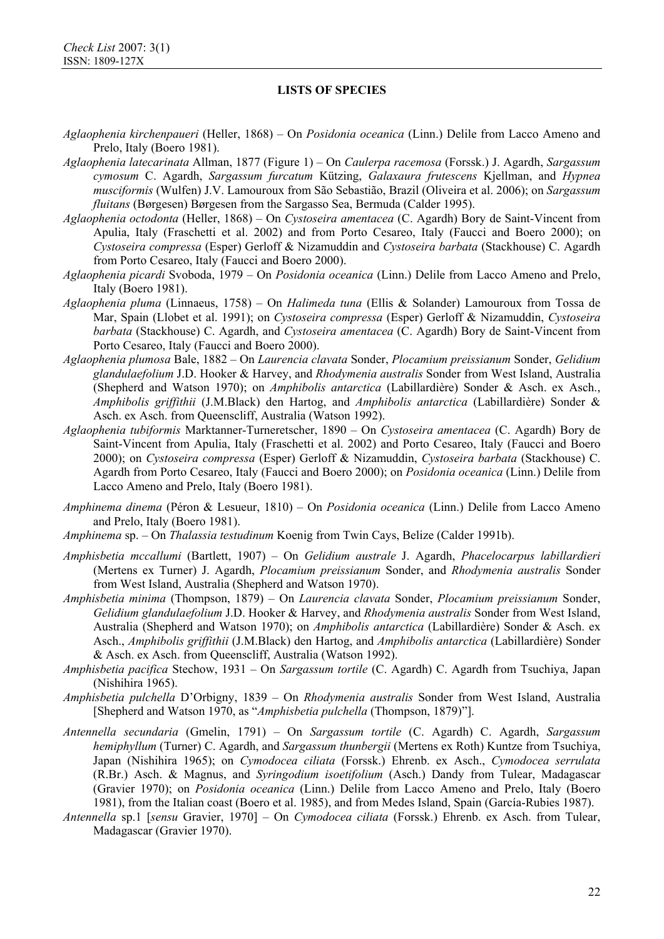- *Aglaophenia kirchenpaueri* (Heller, 1868) On *Posidonia oceanica* (Linn.) Delile from Lacco Ameno and Prelo, Italy (Boero 1981).
- *Aglaophenia latecarinata* Allman, 1877 (Figure 1) On *Caulerpa racemosa* (Forssk.) J. Agardh, *Sargassum cymosum* C. Agardh, *Sargassum furcatum* Kützing, *Galaxaura frutescens* Kjellman, and *Hypnea musciformis* (Wulfen) J.V. Lamouroux from São Sebastião, Brazil (Oliveira et al. 2006); on *Sargassum fluitans* (Børgesen) Børgesen from the Sargasso Sea, Bermuda (Calder 1995).
- *Aglaophenia octodonta* (Heller, 1868) On *Cystoseira amentacea* (C. Agardh) Bory de Saint-Vincent from Apulia, Italy (Fraschetti et al. 2002) and from Porto Cesareo, Italy (Faucci and Boero 2000); on *Cystoseira compressa* (Esper) Gerloff & Nizamuddin and *Cystoseira barbata* (Stackhouse) C. Agardh from Porto Cesareo, Italy (Faucci and Boero 2000).
- *Aglaophenia picardi* Svoboda, 1979 On *Posidonia oceanica* (Linn.) Delile from Lacco Ameno and Prelo, Italy (Boero 1981).
- *Aglaophenia pluma* (Linnaeus, 1758) On *Halimeda tuna* (Ellis & Solander) Lamouroux from Tossa de Mar, Spain (Llobet et al. 1991); on *Cystoseira compressa* (Esper) Gerloff & Nizamuddin, *Cystoseira barbata* (Stackhouse) C. Agardh, and *Cystoseira amentacea* (C. Agardh) Bory de Saint-Vincent from Porto Cesareo, Italy (Faucci and Boero 2000).
- *Aglaophenia plumosa* Bale, 1882 On *Laurencia clavata* Sonder, *Plocamium preissianum* Sonder, *Gelidium glandulaefolium* J.D. Hooker & Harvey, and *Rhodymenia australis* Sonder from West Island, Australia (Shepherd and Watson 1970); on *Amphibolis antarctica* (Labillardière) Sonder & Asch. ex Asch., *Amphibolis griffithii* (J.M.Black) den Hartog, and *Amphibolis antarctica* (Labillardière) Sonder & Asch. ex Asch. from Queenscliff, Australia (Watson 1992).
- *Aglaophenia tubiformis* Marktanner-Turneretscher, 1890 On *Cystoseira amentacea* (C. Agardh) Bory de Saint-Vincent from Apulia, Italy (Fraschetti et al. 2002) and Porto Cesareo, Italy (Faucci and Boero 2000); on *Cystoseira compressa* (Esper) Gerloff & Nizamuddin, *Cystoseira barbata* (Stackhouse) C. Agardh from Porto Cesareo, Italy (Faucci and Boero 2000); on *Posidonia oceanica* (Linn.) Delile from Lacco Ameno and Prelo, Italy (Boero 1981).
- *Amphinema dinema* (Péron & Lesueur, 1810) On *Posidonia oceanica* (Linn.) Delile from Lacco Ameno and Prelo, Italy (Boero 1981).
- *Amphinema* sp. On *Thalassia testudinum* Koenig from Twin Cays, Belize (Calder 1991b).
- *Amphisbetia mccallumi* (Bartlett, 1907) On *Gelidium australe* J. Agardh, *Phacelocarpus labillardieri*  (Mertens ex Turner) J. Agardh, *Plocamium preissianum* Sonder, and *Rhodymenia australis* Sonder from West Island, Australia (Shepherd and Watson 1970).
- *Amphisbetia minima* (Thompson, 1879) On *Laurencia clavata* Sonder, *Plocamium preissianum* Sonder, *Gelidium glandulaefolium* J.D. Hooker & Harvey, and *Rhodymenia australis* Sonder from West Island, Australia (Shepherd and Watson 1970); on *Amphibolis antarctica* (Labillardière) Sonder & Asch. ex Asch., *Amphibolis griffithii* (J.M.Black) den Hartog, and *Amphibolis antarctica* (Labillardière) Sonder & Asch. ex Asch. from Queenscliff, Australia (Watson 1992).
- *Amphisbetia pacifica* Stechow, 1931 On *Sargassum tortile* (C. Agardh) C. Agardh from Tsuchiya, Japan (Nishihira 1965).
- *Amphisbetia pulchella* D'Orbigny, 1839 On *Rhodymenia australis* Sonder from West Island, Australia [Shepherd and Watson 1970, as "*Amphisbetia pulchella* (Thompson, 1879)"].
- *Antennella secundaria* (Gmelin, 1791) On *Sargassum tortile* (C. Agardh) C. Agardh, *Sargassum hemiphyllum* (Turner) C. Agardh, and *Sargassum thunbergii* (Mertens ex Roth) Kuntze from Tsuchiya, Japan (Nishihira 1965); on *Cymodocea ciliata* (Forssk.) Ehrenb. ex Asch., *Cymodocea serrulata* (R.Br.) Asch. & Magnus, and *Syringodium isoetifolium* (Asch.) Dandy from Tulear, Madagascar (Gravier 1970); on *Posidonia oceanica* (Linn.) Delile from Lacco Ameno and Prelo, Italy (Boero 1981), from the Italian coast (Boero et al. 1985), and from Medes Island, Spain (García-Rubies 1987).
- *Antennella* sp.1 [*sensu* Gravier, 1970] On *Cymodocea ciliata* (Forssk.) Ehrenb. ex Asch. from Tulear, Madagascar (Gravier 1970).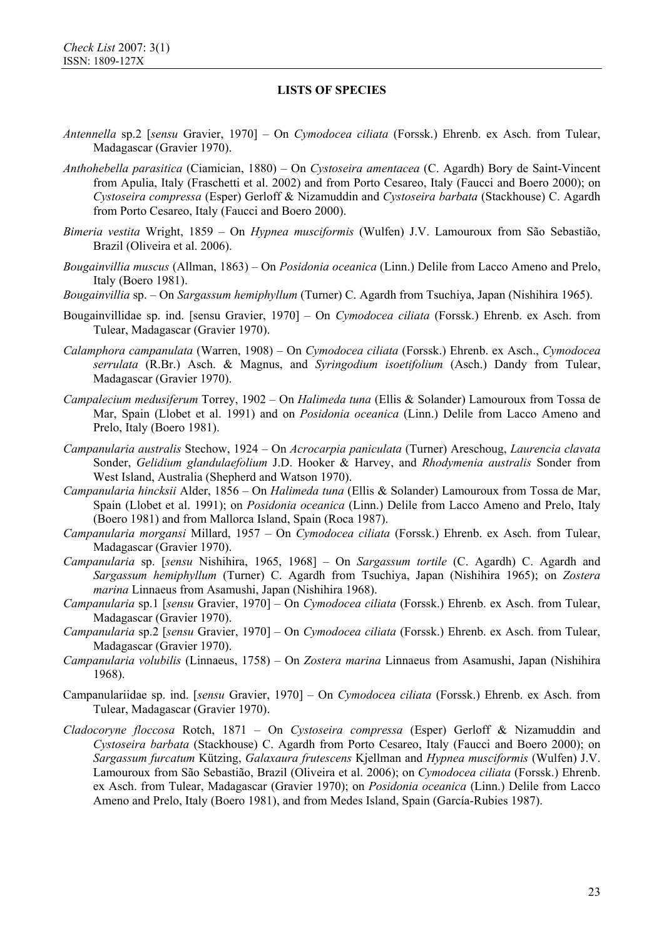- *Antennella* sp.2 [*sensu* Gravier, 1970] On *Cymodocea ciliata* (Forssk.) Ehrenb. ex Asch. from Tulear, Madagascar (Gravier 1970).
- *Anthohebella parasitica* (Ciamician, 1880) On *Cystoseira amentacea* (C. Agardh) Bory de Saint-Vincent from Apulia, Italy (Fraschetti et al. 2002) and from Porto Cesareo, Italy (Faucci and Boero 2000); on *Cystoseira compressa* (Esper) Gerloff & Nizamuddin and *Cystoseira barbata* (Stackhouse) C. Agardh from Porto Cesareo, Italy (Faucci and Boero 2000).
- *Bimeria vestita* Wright, 1859 On *Hypnea musciformis* (Wulfen) J.V. Lamouroux from São Sebastião, Brazil (Oliveira et al. 2006).
- *Bougainvillia muscus* (Allman, 1863) On *Posidonia oceanica* (Linn.) Delile from Lacco Ameno and Prelo, Italy (Boero 1981).
- *Bougainvillia* sp. On *Sargassum hemiphyllum* (Turner) C. Agardh from Tsuchiya, Japan (Nishihira 1965).
- Bougainvillidae sp. ind. [sensu Gravier, 1970] On *Cymodocea ciliata* (Forssk.) Ehrenb. ex Asch. from Tulear, Madagascar (Gravier 1970).
- *Calamphora campanulata* (Warren, 1908) On *Cymodocea ciliata* (Forssk.) Ehrenb. ex Asch., *Cymodocea serrulata* (R.Br.) Asch. & Magnus, and *Syringodium isoetifolium* (Asch.) Dandy from Tulear, Madagascar (Gravier 1970).
- *Campalecium medusiferum* Torrey, 1902 On *Halimeda tuna* (Ellis & Solander) Lamouroux from Tossa de Mar, Spain (Llobet et al. 1991) and on *Posidonia oceanica* (Linn.) Delile from Lacco Ameno and Prelo, Italy (Boero 1981).
- *Campanularia australis* Stechow, 1924 On *Acrocarpia paniculata* (Turner) Areschoug, *Laurencia clavata* Sonder, *Gelidium glandulaefolium* J.D. Hooker & Harvey, and *Rhodymenia australis* Sonder from West Island, Australia (Shepherd and Watson 1970).
- *Campanularia hincksii* Alder, 1856 On *Halimeda tuna* (Ellis & Solander) Lamouroux from Tossa de Mar, Spain (Llobet et al. 1991); on *Posidonia oceanica* (Linn.) Delile from Lacco Ameno and Prelo, Italy (Boero 1981) and from Mallorca Island, Spain (Roca 1987).
- *Campanularia morgansi* Millard, 1957 On *Cymodocea ciliata* (Forssk.) Ehrenb. ex Asch. from Tulear, Madagascar (Gravier 1970).
- *Campanularia* sp. [*sensu* Nishihira, 1965, 1968] On *Sargassum tortile* (C. Agardh) C. Agardh and *Sargassum hemiphyllum* (Turner) C. Agardh from Tsuchiya, Japan (Nishihira 1965); on *Zostera marina* Linnaeus from Asamushi, Japan (Nishihira 1968).
- *Campanularia* sp.1 [*sensu* Gravier, 1970] On *Cymodocea ciliata* (Forssk.) Ehrenb. ex Asch. from Tulear, Madagascar (Gravier 1970).
- *Campanularia* sp.2 [*sensu* Gravier, 1970] On *Cymodocea ciliata* (Forssk.) Ehrenb. ex Asch. from Tulear, Madagascar (Gravier 1970).
- *Campanularia volubilis* (Linnaeus, 1758) On *Zostera marina* Linnaeus from Asamushi, Japan (Nishihira 1968).
- Campanulariidae sp. ind. [*sensu* Gravier, 1970] On *Cymodocea ciliata* (Forssk.) Ehrenb. ex Asch. from Tulear, Madagascar (Gravier 1970).
- *Cladocoryne floccosa* Rotch, 1871 On *Cystoseira compressa* (Esper) Gerloff & Nizamuddin and *Cystoseira barbata* (Stackhouse) C. Agardh from Porto Cesareo, Italy (Faucci and Boero 2000); on *Sargassum furcatum* Kützing, *Galaxaura frutescens* Kjellman and *Hypnea musciformis* (Wulfen) J.V. Lamouroux from São Sebastião, Brazil (Oliveira et al. 2006); on *Cymodocea ciliata* (Forssk.) Ehrenb. ex Asch. from Tulear, Madagascar (Gravier 1970); on *Posidonia oceanica* (Linn.) Delile from Lacco Ameno and Prelo, Italy (Boero 1981), and from Medes Island, Spain (García-Rubies 1987).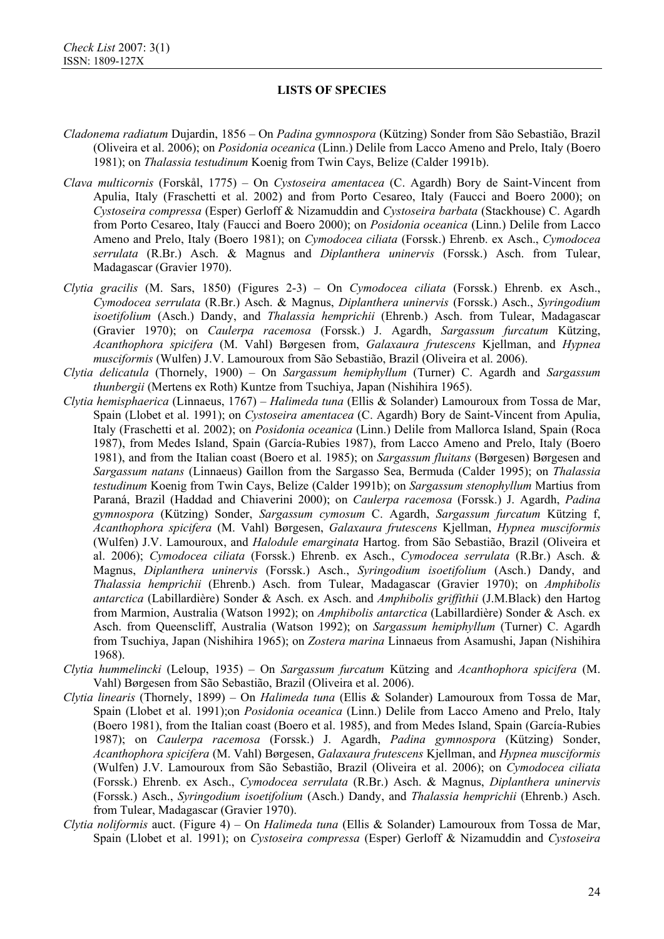- *Cladonema radiatum* Dujardin, 1856 On *Padina gymnospora* (Kützing) Sonder from São Sebastião, Brazil (Oliveira et al. 2006); on *Posidonia oceanica* (Linn.) Delile from Lacco Ameno and Prelo, Italy (Boero 1981); on *Thalassia testudinum* Koenig from Twin Cays, Belize (Calder 1991b).
- *Clava multicornis* (Forskål, 1775) On *Cystoseira amentacea* (C. Agardh) Bory de Saint-Vincent from Apulia, Italy (Fraschetti et al. 2002) and from Porto Cesareo, Italy (Faucci and Boero 2000); on *Cystoseira compressa* (Esper) Gerloff & Nizamuddin and *Cystoseira barbata* (Stackhouse) C. Agardh from Porto Cesareo, Italy (Faucci and Boero 2000); on *Posidonia oceanica* (Linn.) Delile from Lacco Ameno and Prelo, Italy (Boero 1981); on *Cymodocea ciliata* (Forssk.) Ehrenb. ex Asch., *Cymodocea serrulata* (R.Br.) Asch. & Magnus and *Diplanthera uninervis* (Forssk.) Asch. from Tulear, Madagascar (Gravier 1970).
- *Clytia gracilis* (M. Sars, 1850) (Figures 2-3) On *Cymodocea ciliata* (Forssk.) Ehrenb. ex Asch., *Cymodocea serrulata* (R.Br.) Asch. & Magnus, *Diplanthera uninervis* (Forssk.) Asch., *Syringodium isoetifolium* (Asch.) Dandy, and *Thalassia hemprichii* (Ehrenb.) Asch. from Tulear, Madagascar (Gravier 1970); on *Caulerpa racemosa* (Forssk.) J. Agardh, *Sargassum furcatum* Kützing, *Acanthophora spicifera* (M. Vahl) Børgesen from, *Galaxaura frutescens* Kjellman, and *Hypnea musciformis* (Wulfen) J.V. Lamouroux from São Sebastião, Brazil (Oliveira et al. 2006).
- *Clytia delicatula* (Thornely, 1900) On *Sargassum hemiphyllum* (Turner) C. Agardh and *Sargassum thunbergii* (Mertens ex Roth) Kuntze from Tsuchiya, Japan (Nishihira 1965).
- *Clytia hemisphaerica* (Linnaeus, 1767) *Halimeda tuna* (Ellis & Solander) Lamouroux from Tossa de Mar, Spain (Llobet et al. 1991); on *Cystoseira amentacea* (C. Agardh) Bory de Saint-Vincent from Apulia, Italy (Fraschetti et al. 2002); on *Posidonia oceanica* (Linn.) Delile from Mallorca Island, Spain (Roca 1987), from Medes Island, Spain (García-Rubies 1987), from Lacco Ameno and Prelo, Italy (Boero 1981), and from the Italian coast (Boero et al. 1985); on *Sargassum fluitans* (Børgesen) Børgesen and *Sargassum natans* (Linnaeus) Gaillon from the Sargasso Sea, Bermuda (Calder 1995); on *Thalassia testudinum* Koenig from Twin Cays, Belize (Calder 1991b); on *Sargassum stenophyllum* Martius from Paraná, Brazil (Haddad and Chiaverini 2000); on *Caulerpa racemosa* (Forssk.) J. Agardh, *Padina gymnospora* (Kützing) Sonder, *Sargassum cymosum* C. Agardh, *Sargassum furcatum* Kützing f, *Acanthophora spicifera* (M. Vahl) Børgesen, *Galaxaura frutescens* Kjellman, *Hypnea musciformis* (Wulfen) J.V. Lamouroux, and *Halodule emarginata* Hartog. from São Sebastião, Brazil (Oliveira et al. 2006); *Cymodocea ciliata* (Forssk.) Ehrenb. ex Asch., *Cymodocea serrulata* (R.Br.) Asch. & Magnus, *Diplanthera uninervis* (Forssk.) Asch., *Syringodium isoetifolium* (Asch.) Dandy, and *Thalassia hemprichii* (Ehrenb.) Asch. from Tulear, Madagascar (Gravier 1970); on *Amphibolis antarctica* (Labillardière) Sonder & Asch. ex Asch. and *Amphibolis griffithii* (J.M.Black) den Hartog from Marmion, Australia (Watson 1992); on *Amphibolis antarctica* (Labillardière) Sonder & Asch. ex Asch. from Queenscliff, Australia (Watson 1992); on *Sargassum hemiphyllum* (Turner) C. Agardh from Tsuchiya, Japan (Nishihira 1965); on *Zostera marina* Linnaeus from Asamushi, Japan (Nishihira 1968).
- *Clytia hummelincki* (Leloup, 1935) On *Sargassum furcatum* Kützing and *Acanthophora spicifera* (M. Vahl) Børgesen from São Sebastião, Brazil (Oliveira et al. 2006).
- *Clytia linearis* (Thornely, 1899) On *Halimeda tuna* (Ellis & Solander) Lamouroux from Tossa de Mar, Spain (Llobet et al. 1991);on *Posidonia oceanica* (Linn.) Delile from Lacco Ameno and Prelo, Italy (Boero 1981), from the Italian coast (Boero et al. 1985), and from Medes Island, Spain (García-Rubies 1987); on *Caulerpa racemosa* (Forssk.) J. Agardh, *Padina gymnospora* (Kützing) Sonder, *Acanthophora spicifera* (M. Vahl) Børgesen, *Galaxaura frutescens* Kjellman, and *Hypnea musciformis*  (Wulfen) J.V. Lamouroux from São Sebastião, Brazil (Oliveira et al. 2006); on *Cymodocea ciliata* (Forssk.) Ehrenb. ex Asch., *Cymodocea serrulata* (R.Br.) Asch. & Magnus, *Diplanthera uninervis* (Forssk.) Asch., *Syringodium isoetifolium* (Asch.) Dandy, and *Thalassia hemprichii* (Ehrenb.) Asch. from Tulear, Madagascar (Gravier 1970).
- *Clytia noliformis* auct. (Figure 4) On *Halimeda tuna* (Ellis & Solander) Lamouroux from Tossa de Mar, Spain (Llobet et al. 1991); on *Cystoseira compressa* (Esper) Gerloff & Nizamuddin and *Cystoseira*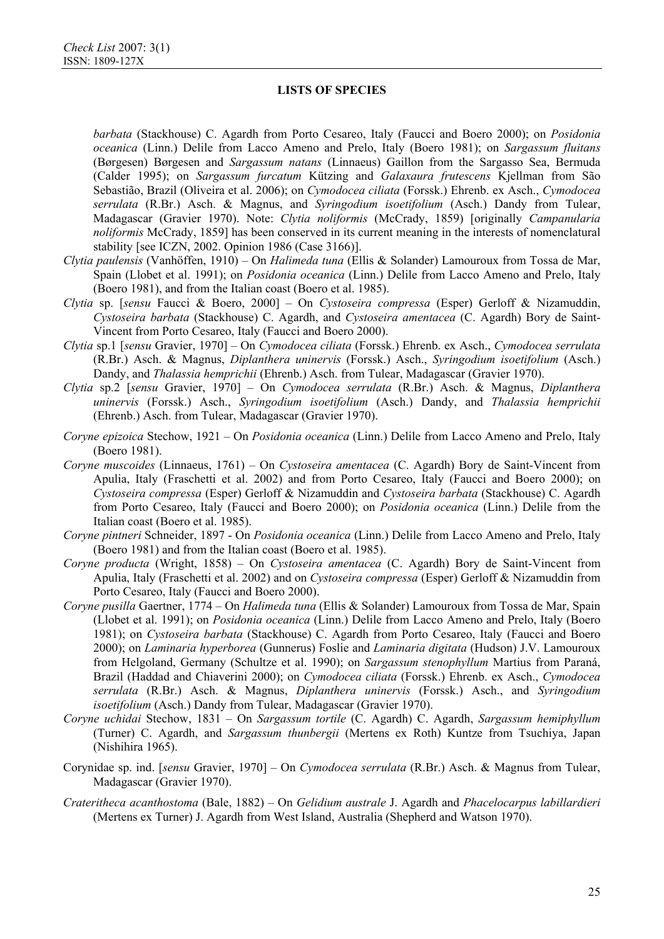*barbata* (Stackhouse) C. Agardh from Porto Cesareo, Italy (Faucci and Boero 2000); on *Posidonia oceanica* (Linn.) Delile from Lacco Ameno and Prelo, Italy (Boero 1981); on *Sargassum fluitans*  (Børgesen) Børgesen and *Sargassum natans* (Linnaeus) Gaillon from the Sargasso Sea, Bermuda (Calder 1995); on *Sargassum furcatum* Kützing and *Galaxaura frutescens* Kjellman from São Sebastião, Brazil (Oliveira et al. 2006); on *Cymodocea ciliata* (Forssk.) Ehrenb. ex Asch., *Cymodocea serrulata* (R.Br.) Asch. & Magnus, and *Syringodium isoetifolium* (Asch.) Dandy from Tulear, Madagascar (Gravier 1970). Note: *Clytia noliformis* (McCrady, 1859) [originally *Campanularia noliformis* McCrady, 1859] has been conserved in its current meaning in the interests of nomenclatural stability [see ICZN, 2002. Opinion 1986 (Case 3166)].

- *Clytia paulensis* (Vanhöffen, 1910) On *Halimeda tuna* (Ellis & Solander) Lamouroux from Tossa de Mar, Spain (Llobet et al. 1991); on *Posidonia oceanica* (Linn.) Delile from Lacco Ameno and Prelo, Italy (Boero 1981), and from the Italian coast (Boero et al. 1985).
- *Clytia* sp. [*sensu* Faucci & Boero, 2000] On *Cystoseira compressa* (Esper) Gerloff & Nizamuddin, *Cystoseira barbata* (Stackhouse) C. Agardh, and *Cystoseira amentacea* (C. Agardh) Bory de Saint-Vincent from Porto Cesareo, Italy (Faucci and Boero 2000).
- *Clytia* sp.1 [*sensu* Gravier, 1970] On *Cymodocea ciliata* (Forssk.) Ehrenb. ex Asch., *Cymodocea serrulata* (R.Br.) Asch. & Magnus, *Diplanthera uninervis* (Forssk.) Asch., *Syringodium isoetifolium* (Asch.) Dandy, and *Thalassia hemprichii* (Ehrenb.) Asch. from Tulear, Madagascar (Gravier 1970).
- *Clytia* sp.2 [*sensu* Gravier, 1970] On *Cymodocea serrulata* (R.Br.) Asch. & Magnus, *Diplanthera uninervis* (Forssk.) Asch., *Syringodium isoetifolium* (Asch.) Dandy, and *Thalassia hemprichii* (Ehrenb.) Asch. from Tulear, Madagascar (Gravier 1970).
- *Coryne epizoica* Stechow, 1921 On *Posidonia oceanica* (Linn.) Delile from Lacco Ameno and Prelo, Italy (Boero 1981).
- *Coryne muscoides* (Linnaeus, 1761) On *Cystoseira amentacea* (C. Agardh) Bory de Saint-Vincent from Apulia, Italy (Fraschetti et al. 2002) and from Porto Cesareo, Italy (Faucci and Boero 2000); on *Cystoseira compressa* (Esper) Gerloff & Nizamuddin and *Cystoseira barbata* (Stackhouse) C. Agardh from Porto Cesareo, Italy (Faucci and Boero 2000); on *Posidonia oceanica* (Linn.) Delile from the Italian coast (Boero et al. 1985).
- *Coryne pintneri* Schneider, 1897 On *Posidonia oceanica* (Linn.) Delile from Lacco Ameno and Prelo, Italy (Boero 1981) and from the Italian coast (Boero et al. 1985).
- *Coryne producta* (Wright, 1858) On *Cystoseira amentacea* (C. Agardh) Bory de Saint-Vincent from Apulia, Italy (Fraschetti et al. 2002) and on *Cystoseira compressa* (Esper) Gerloff & Nizamuddin from Porto Cesareo, Italy (Faucci and Boero 2000).
- *Coryne pusilla* Gaertner, 1774 On *Halimeda tuna* (Ellis & Solander) Lamouroux from Tossa de Mar, Spain (Llobet et al. 1991); on *Posidonia oceanica* (Linn.) Delile from Lacco Ameno and Prelo, Italy (Boero 1981); on *Cystoseira barbata* (Stackhouse) C. Agardh from Porto Cesareo, Italy (Faucci and Boero 2000); on *Laminaria hyperborea* (Gunnerus) Foslie and *Laminaria digitata* (Hudson) J.V. Lamouroux from Helgoland, Germany (Schultze et al. 1990); on *Sargassum stenophyllum* Martius from Paraná, Brazil (Haddad and Chiaverini 2000); on *Cymodocea ciliata* (Forssk.) Ehrenb. ex Asch., *Cymodocea serrulata* (R.Br.) Asch. & Magnus, *Diplanthera uninervis* (Forssk.) Asch., and *Syringodium isoetifolium* (Asch.) Dandy from Tulear, Madagascar (Gravier 1970).
- *Coryne uchidai* Stechow, 1831 On *Sargassum tortile* (C. Agardh) C. Agardh, *Sargassum hemiphyllum* (Turner) C. Agardh, and *Sargassum thunbergii* (Mertens ex Roth) Kuntze from Tsuchiya, Japan (Nishihira 1965).
- Corynidae sp. ind. [*sensu* Gravier, 1970] On *Cymodocea serrulata* (R.Br.) Asch. & Magnus from Tulear, Madagascar (Gravier 1970).
- *Crateritheca acanthostoma* (Bale, 1882) On *Gelidium australe* J. Agardh and *Phacelocarpus labillardieri*  (Mertens ex Turner) J. Agardh from West Island, Australia (Shepherd and Watson 1970).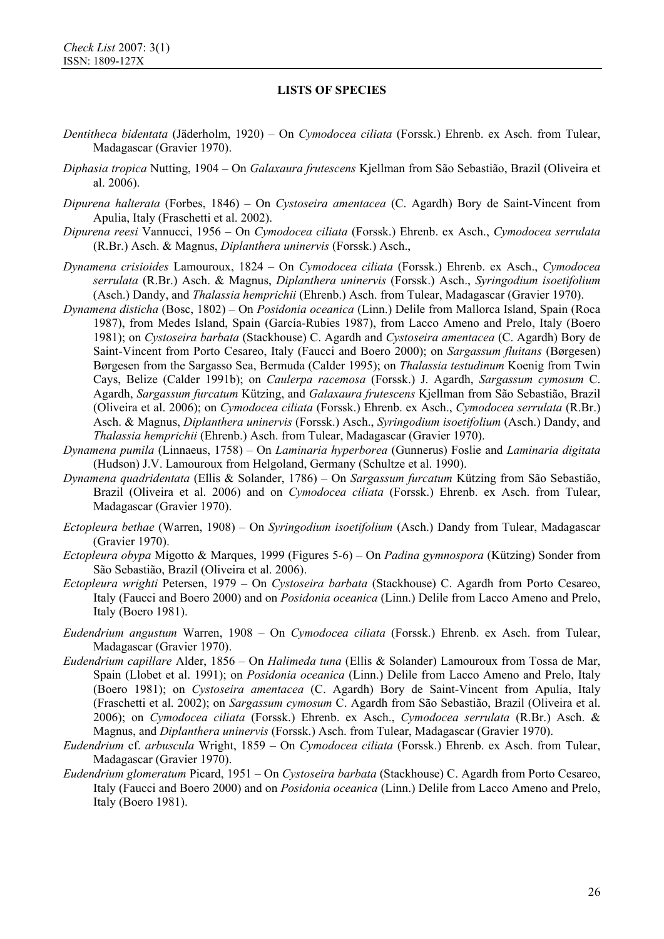- *Dentitheca bidentata* (Jäderholm, 1920) On *Cymodocea ciliata* (Forssk.) Ehrenb. ex Asch. from Tulear, Madagascar (Gravier 1970).
- *Diphasia tropica* Nutting, 1904 On *Galaxaura frutescens* Kjellman from São Sebastião, Brazil (Oliveira et al. 2006).
- *Dipurena halterata* (Forbes, 1846) On *Cystoseira amentacea* (C. Agardh) Bory de Saint-Vincent from Apulia, Italy (Fraschetti et al. 2002).
- *Dipurena reesi* Vannucci, 1956 On *Cymodocea ciliata* (Forssk.) Ehrenb. ex Asch., *Cymodocea serrulata* (R.Br.) Asch. & Magnus, *Diplanthera uninervis* (Forssk.) Asch.,
- *Dynamena crisioides* Lamouroux, 1824 On *Cymodocea ciliata* (Forssk.) Ehrenb. ex Asch., *Cymodocea serrulata* (R.Br.) Asch. & Magnus, *Diplanthera uninervis* (Forssk.) Asch., *Syringodium isoetifolium* (Asch.) Dandy, and *Thalassia hemprichii* (Ehrenb.) Asch. from Tulear, Madagascar (Gravier 1970).
- *Dynamena disticha* (Bosc, 1802) On *Posidonia oceanica* (Linn.) Delile from Mallorca Island, Spain (Roca 1987), from Medes Island, Spain (García-Rubies 1987), from Lacco Ameno and Prelo, Italy (Boero 1981); on *Cystoseira barbata* (Stackhouse) C. Agardh and *Cystoseira amentacea* (C. Agardh) Bory de Saint-Vincent from Porto Cesareo, Italy (Faucci and Boero 2000); on *Sargassum fluitans* (Børgesen) Børgesen from the Sargasso Sea, Bermuda (Calder 1995); on *Thalassia testudinum* Koenig from Twin Cays, Belize (Calder 1991b); on *Caulerpa racemosa* (Forssk.) J. Agardh, *Sargassum cymosum* C. Agardh, *Sargassum furcatum* Kützing, and *Galaxaura frutescens* Kjellman from São Sebastião, Brazil (Oliveira et al. 2006); on *Cymodocea ciliata* (Forssk.) Ehrenb. ex Asch., *Cymodocea serrulata* (R.Br.) Asch. & Magnus, *Diplanthera uninervis* (Forssk.) Asch., *Syringodium isoetifolium* (Asch.) Dandy, and *Thalassia hemprichii* (Ehrenb.) Asch. from Tulear, Madagascar (Gravier 1970).
- *Dynamena pumila* (Linnaeus, 1758) On *Laminaria hyperborea* (Gunnerus) Foslie and *Laminaria digitata*  (Hudson) J.V. Lamouroux from Helgoland, Germany (Schultze et al. 1990).
- *Dynamena quadridentata* (Ellis & Solander, 1786) On *Sargassum furcatum* Kützing from São Sebastião, Brazil (Oliveira et al. 2006) and on *Cymodocea ciliata* (Forssk.) Ehrenb. ex Asch. from Tulear, Madagascar (Gravier 1970).
- *Ectopleura bethae* (Warren, 1908) On *Syringodium isoetifolium* (Asch.) Dandy from Tulear, Madagascar (Gravier 1970).
- *Ectopleura obypa* Migotto & Marques, 1999 (Figures 5-6) On *Padina gymnospora* (Kützing) Sonder from São Sebastião, Brazil (Oliveira et al. 2006).
- *Ectopleura wrighti* Petersen, 1979 On *Cystoseira barbata* (Stackhouse) C. Agardh from Porto Cesareo, Italy (Faucci and Boero 2000) and on *Posidonia oceanica* (Linn.) Delile from Lacco Ameno and Prelo, Italy (Boero 1981).
- *Eudendrium angustum* Warren, 1908 On *Cymodocea ciliata* (Forssk.) Ehrenb. ex Asch. from Tulear, Madagascar (Gravier 1970).
- *Eudendrium capillare* Alder, 1856 On *Halimeda tuna* (Ellis & Solander) Lamouroux from Tossa de Mar, Spain (Llobet et al. 1991); on *Posidonia oceanica* (Linn.) Delile from Lacco Ameno and Prelo, Italy (Boero 1981); on *Cystoseira amentacea* (C. Agardh) Bory de Saint-Vincent from Apulia, Italy (Fraschetti et al. 2002); on *Sargassum cymosum* C. Agardh from São Sebastião, Brazil (Oliveira et al. 2006); on *Cymodocea ciliata* (Forssk.) Ehrenb. ex Asch., *Cymodocea serrulata* (R.Br.) Asch. & Magnus, and *Diplanthera uninervis* (Forssk.) Asch. from Tulear, Madagascar (Gravier 1970).
- *Eudendrium* cf. *arbuscula* Wright, 1859 On *Cymodocea ciliata* (Forssk.) Ehrenb. ex Asch. from Tulear, Madagascar (Gravier 1970).
- *Eudendrium glomeratum* Picard, 1951 On *Cystoseira barbata* (Stackhouse) C. Agardh from Porto Cesareo, Italy (Faucci and Boero 2000) and on *Posidonia oceanica* (Linn.) Delile from Lacco Ameno and Prelo, Italy (Boero 1981).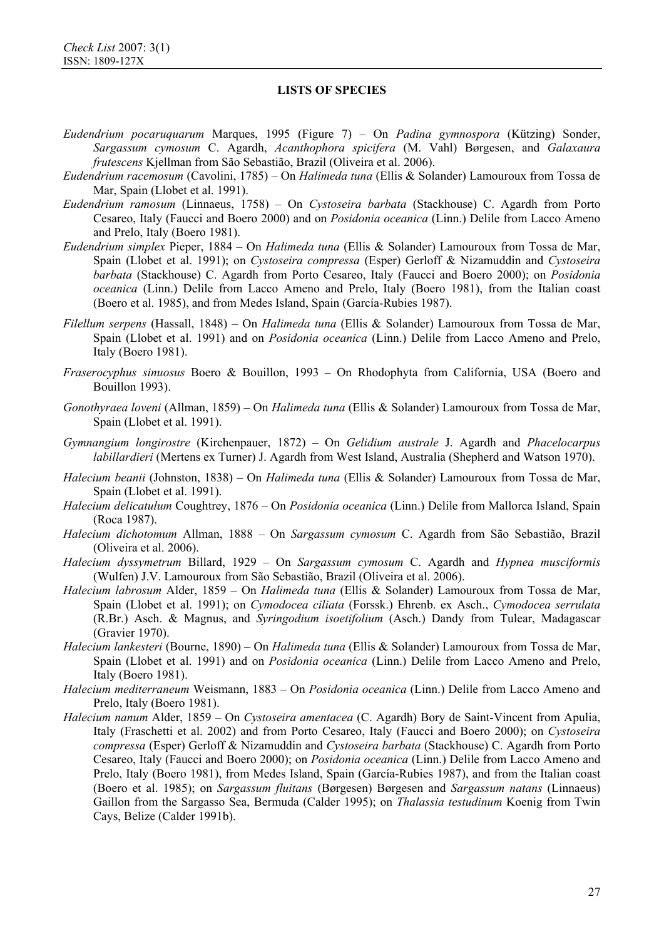- *Eudendrium pocaruquarum* Marques, 1995 (Figure 7) On *Padina gymnospora* (Kützing) Sonder, *Sargassum cymosum* C. Agardh, *Acanthophora spicifera* (M. Vahl) Børgesen, and *Galaxaura frutescens* Kjellman from São Sebastião, Brazil (Oliveira et al. 2006).
- *Eudendrium racemosum* (Cavolini, 1785) On *Halimeda tuna* (Ellis & Solander) Lamouroux from Tossa de Mar, Spain (Llobet et al. 1991).
- *Eudendrium ramosum* (Linnaeus, 1758) On *Cystoseira barbata* (Stackhouse) C. Agardh from Porto Cesareo, Italy (Faucci and Boero 2000) and on *Posidonia oceanica* (Linn.) Delile from Lacco Ameno and Prelo, Italy (Boero 1981).
- *Eudendrium simplex* Pieper, 1884 On *Halimeda tuna* (Ellis & Solander) Lamouroux from Tossa de Mar, Spain (Llobet et al. 1991); on *Cystoseira compressa* (Esper) Gerloff & Nizamuddin and *Cystoseira barbata* (Stackhouse) C. Agardh from Porto Cesareo, Italy (Faucci and Boero 2000); on *Posidonia oceanica* (Linn.) Delile from Lacco Ameno and Prelo, Italy (Boero 1981), from the Italian coast (Boero et al. 1985), and from Medes Island, Spain (García-Rubies 1987).
- *Filellum serpens* (Hassall, 1848) On *Halimeda tuna* (Ellis & Solander) Lamouroux from Tossa de Mar, Spain (Llobet et al. 1991) and on *Posidonia oceanica* (Linn.) Delile from Lacco Ameno and Prelo, Italy (Boero 1981).
- *Fraserocyphus sinuosus* Boero & Bouillon, 1993 On Rhodophyta from California, USA (Boero and Bouillon 1993).
- *Gonothyraea loveni* (Allman, 1859) On *Halimeda tuna* (Ellis & Solander) Lamouroux from Tossa de Mar, Spain (Llobet et al. 1991).
- *Gymnangium longirostre* (Kirchenpauer, 1872) On *Gelidium australe* J. Agardh and *Phacelocarpus labillardieri* (Mertens ex Turner) J. Agardh from West Island, Australia (Shepherd and Watson 1970).
- *Halecium beanii* (Johnston, 1838) On *Halimeda tuna* (Ellis & Solander) Lamouroux from Tossa de Mar, Spain (Llobet et al. 1991).
- *Halecium delicatulum* Coughtrey, 1876 On *Posidonia oceanica* (Linn.) Delile from Mallorca Island, Spain (Roca 1987).
- *Halecium dichotomum* Allman, 1888 On *Sargassum cymosum* C. Agardh from São Sebastião, Brazil (Oliveira et al. 2006).
- *Halecium dyssymetrum* Billard, 1929 On *Sargassum cymosum* C. Agardh and *Hypnea musciformis*  (Wulfen) J.V. Lamouroux from São Sebastião, Brazil (Oliveira et al. 2006).
- *Halecium labrosum* Alder, 1859 On *Halimeda tuna* (Ellis & Solander) Lamouroux from Tossa de Mar, Spain (Llobet et al. 1991); on *Cymodocea ciliata* (Forssk.) Ehrenb. ex Asch., *Cymodocea serrulata* (R.Br.) Asch. & Magnus, and *Syringodium isoetifolium* (Asch.) Dandy from Tulear, Madagascar (Gravier 1970).
- *Halecium lankesteri* (Bourne, 1890) On *Halimeda tuna* (Ellis & Solander) Lamouroux from Tossa de Mar, Spain (Llobet et al. 1991) and on *Posidonia oceanica* (Linn.) Delile from Lacco Ameno and Prelo, Italy (Boero 1981).
- *Halecium mediterraneum* Weismann, 1883 On *Posidonia oceanica* (Linn.) Delile from Lacco Ameno and Prelo, Italy (Boero 1981).
- *Halecium nanum* Alder, 1859 On *Cystoseira amentacea* (C. Agardh) Bory de Saint-Vincent from Apulia, Italy (Fraschetti et al. 2002) and from Porto Cesareo, Italy (Faucci and Boero 2000); on *Cystoseira compressa* (Esper) Gerloff & Nizamuddin and *Cystoseira barbata* (Stackhouse) C. Agardh from Porto Cesareo, Italy (Faucci and Boero 2000); on *Posidonia oceanica* (Linn.) Delile from Lacco Ameno and Prelo, Italy (Boero 1981), from Medes Island, Spain (García-Rubies 1987), and from the Italian coast (Boero et al. 1985); on *Sargassum fluitans* (Børgesen) Børgesen and *Sargassum natans* (Linnaeus) Gaillon from the Sargasso Sea, Bermuda (Calder 1995); on *Thalassia testudinum* Koenig from Twin Cays, Belize (Calder 1991b).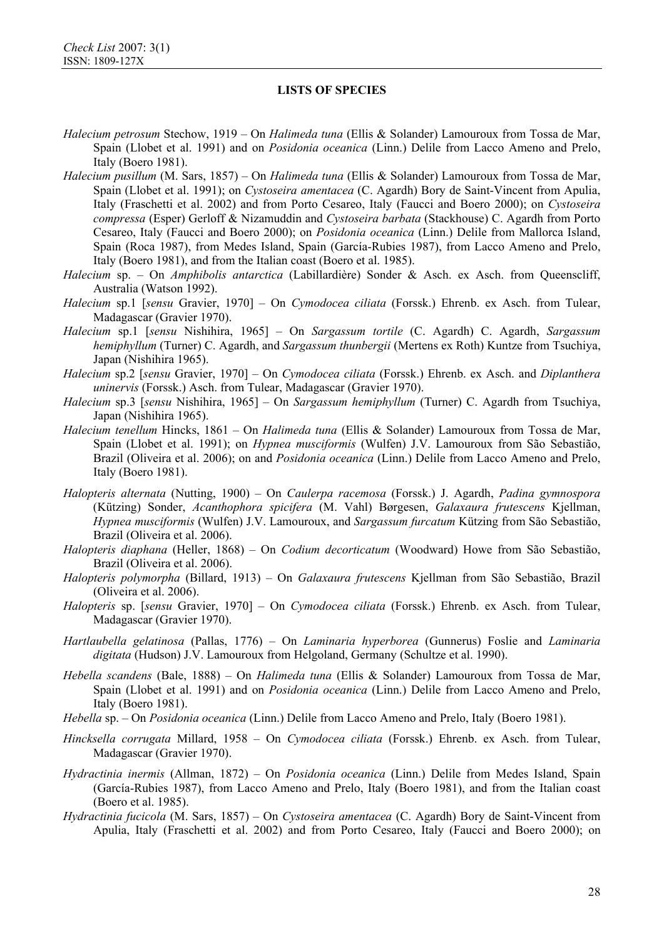*Halecium petrosum* Stechow, 1919 – On *Halimeda tuna* (Ellis & Solander) Lamouroux from Tossa de Mar, Spain (Llobet et al. 1991) and on *Posidonia oceanica* (Linn.) Delile from Lacco Ameno and Prelo, Italy (Boero 1981).

- *Halecium pusillum* (M. Sars, 1857) On *Halimeda tuna* (Ellis & Solander) Lamouroux from Tossa de Mar, Spain (Llobet et al. 1991); on *Cystoseira amentacea* (C. Agardh) Bory de Saint-Vincent from Apulia, Italy (Fraschetti et al. 2002) and from Porto Cesareo, Italy (Faucci and Boero 2000); on *Cystoseira compressa* (Esper) Gerloff & Nizamuddin and *Cystoseira barbata* (Stackhouse) C. Agardh from Porto Cesareo, Italy (Faucci and Boero 2000); on *Posidonia oceanica* (Linn.) Delile from Mallorca Island, Spain (Roca 1987), from Medes Island, Spain (García-Rubies 1987), from Lacco Ameno and Prelo, Italy (Boero 1981), and from the Italian coast (Boero et al. 1985).
- *Halecium* sp. On *Amphibolis antarctica* (Labillardière) Sonder & Asch. ex Asch. from Queenscliff, Australia (Watson 1992).
- *Halecium* sp.1 [*sensu* Gravier, 1970] On *Cymodocea ciliata* (Forssk.) Ehrenb. ex Asch. from Tulear, Madagascar (Gravier 1970).
- *Halecium* sp.1 [*sensu* Nishihira, 1965] On *Sargassum tortile* (C. Agardh) C. Agardh, *Sargassum hemiphyllum* (Turner) C. Agardh, and *Sargassum thunbergii* (Mertens ex Roth) Kuntze from Tsuchiya, Japan (Nishihira 1965).
- *Halecium* sp.2 [*sensu* Gravier, 1970] On *Cymodocea ciliata* (Forssk.) Ehrenb. ex Asch. and *Diplanthera uninervis* (Forssk.) Asch. from Tulear, Madagascar (Gravier 1970).
- *Halecium* sp.3 [*sensu* Nishihira, 1965] On *Sargassum hemiphyllum* (Turner) C. Agardh from Tsuchiya, Japan (Nishihira 1965).
- *Halecium tenellum* Hincks, 1861 On *Halimeda tuna* (Ellis & Solander) Lamouroux from Tossa de Mar, Spain (Llobet et al. 1991); on *Hypnea musciformis* (Wulfen) J.V. Lamouroux from São Sebastião, Brazil (Oliveira et al. 2006); on and *Posidonia oceanica* (Linn.) Delile from Lacco Ameno and Prelo, Italy (Boero 1981).
- *Halopteris alternata* (Nutting, 1900) On *Caulerpa racemosa* (Forssk.) J. Agardh, *Padina gymnospora* (Kützing) Sonder, *Acanthophora spicifera* (M. Vahl) Børgesen, *Galaxaura frutescens* Kjellman, *Hypnea musciformis* (Wulfen) J.V. Lamouroux, and *Sargassum furcatum* Kützing from São Sebastião, Brazil (Oliveira et al. 2006).
- *Halopteris diaphana* (Heller, 1868) On *Codium decorticatum* (Woodward) Howe from São Sebastião, Brazil (Oliveira et al. 2006).
- *Halopteris polymorpha* (Billard, 1913) On *Galaxaura frutescens* Kjellman from São Sebastião, Brazil (Oliveira et al. 2006).
- *Halopteris* sp. [*sensu* Gravier, 1970] On *Cymodocea ciliata* (Forssk.) Ehrenb. ex Asch. from Tulear, Madagascar (Gravier 1970).
- *Hartlaubella gelatinosa* (Pallas, 1776) On *Laminaria hyperborea* (Gunnerus) Foslie and *Laminaria digitata* (Hudson) J.V. Lamouroux from Helgoland, Germany (Schultze et al. 1990).
- *Hebella scandens* (Bale, 1888) On *Halimeda tuna* (Ellis & Solander) Lamouroux from Tossa de Mar, Spain (Llobet et al. 1991) and on *Posidonia oceanica* (Linn.) Delile from Lacco Ameno and Prelo, Italy (Boero 1981).
- *Hebella* sp. On *Posidonia oceanica* (Linn.) Delile from Lacco Ameno and Prelo, Italy (Boero 1981).
- *Hincksella corrugata* Millard, 1958 On *Cymodocea ciliata* (Forssk.) Ehrenb. ex Asch. from Tulear, Madagascar (Gravier 1970).
- *Hydractinia inermis* (Allman, 1872) On *Posidonia oceanica* (Linn.) Delile from Medes Island, Spain (García-Rubies 1987), from Lacco Ameno and Prelo, Italy (Boero 1981), and from the Italian coast (Boero et al. 1985).
- *Hydractinia fucicola* (M. Sars, 1857) On *Cystoseira amentacea* (C. Agardh) Bory de Saint-Vincent from Apulia, Italy (Fraschetti et al. 2002) and from Porto Cesareo, Italy (Faucci and Boero 2000); on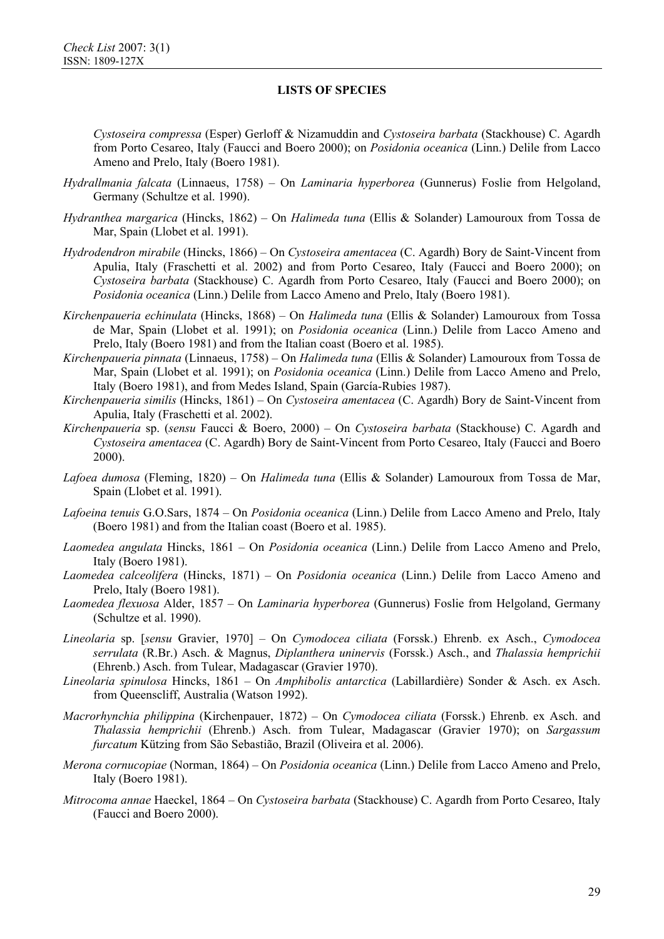*Cystoseira compressa* (Esper) Gerloff & Nizamuddin and *Cystoseira barbata* (Stackhouse) C. Agardh from Porto Cesareo, Italy (Faucci and Boero 2000); on *Posidonia oceanica* (Linn.) Delile from Lacco Ameno and Prelo, Italy (Boero 1981).

- *Hydrallmania falcata* (Linnaeus, 1758) On *Laminaria hyperborea* (Gunnerus) Foslie from Helgoland, Germany (Schultze et al. 1990).
- *Hydranthea margarica* (Hincks, 1862) On *Halimeda tuna* (Ellis & Solander) Lamouroux from Tossa de Mar, Spain (Llobet et al. 1991).
- *Hydrodendron mirabile* (Hincks, 1866) On *Cystoseira amentacea* (C. Agardh) Bory de Saint-Vincent from Apulia, Italy (Fraschetti et al. 2002) and from Porto Cesareo, Italy (Faucci and Boero 2000); on *Cystoseira barbata* (Stackhouse) C. Agardh from Porto Cesareo, Italy (Faucci and Boero 2000); on *Posidonia oceanica* (Linn.) Delile from Lacco Ameno and Prelo, Italy (Boero 1981).
- *Kirchenpaueria echinulata* (Hincks, 1868) On *Halimeda tuna* (Ellis & Solander) Lamouroux from Tossa de Mar, Spain (Llobet et al. 1991); on *Posidonia oceanica* (Linn.) Delile from Lacco Ameno and Prelo, Italy (Boero 1981) and from the Italian coast (Boero et al. 1985).
- *Kirchenpaueria pinnata* (Linnaeus, 1758) On *Halimeda tuna* (Ellis & Solander) Lamouroux from Tossa de Mar, Spain (Llobet et al. 1991); on *Posidonia oceanica* (Linn.) Delile from Lacco Ameno and Prelo, Italy (Boero 1981), and from Medes Island, Spain (García-Rubies 1987).
- *Kirchenpaueria similis* (Hincks, 1861) On *Cystoseira amentacea* (C. Agardh) Bory de Saint-Vincent from Apulia, Italy (Fraschetti et al. 2002).
- *Kirchenpaueria* sp. (*sensu* Faucci & Boero, 2000) On *Cystoseira barbata* (Stackhouse) C. Agardh and *Cystoseira amentacea* (C. Agardh) Bory de Saint-Vincent from Porto Cesareo, Italy (Faucci and Boero 2000).
- *Lafoea dumosa* (Fleming, 1820) On *Halimeda tuna* (Ellis & Solander) Lamouroux from Tossa de Mar, Spain (Llobet et al. 1991).
- *Lafoeina tenuis* G.O.Sars, 1874 On *Posidonia oceanica* (Linn.) Delile from Lacco Ameno and Prelo, Italy (Boero 1981) and from the Italian coast (Boero et al. 1985).
- *Laomedea angulata* Hincks, 1861 On *Posidonia oceanica* (Linn.) Delile from Lacco Ameno and Prelo, Italy (Boero 1981).
- *Laomedea calceolifera* (Hincks, 1871) On *Posidonia oceanica* (Linn.) Delile from Lacco Ameno and Prelo, Italy (Boero 1981).
- *Laomedea flexuosa* Alder, 1857 On *Laminaria hyperborea* (Gunnerus) Foslie from Helgoland, Germany (Schultze et al. 1990).
- *Lineolaria* sp. [*sensu* Gravier, 1970] On *Cymodocea ciliata* (Forssk.) Ehrenb. ex Asch., *Cymodocea serrulata* (R.Br.) Asch. & Magnus, *Diplanthera uninervis* (Forssk.) Asch., and *Thalassia hemprichii*  (Ehrenb.) Asch. from Tulear, Madagascar (Gravier 1970).
- *Lineolaria spinulosa* Hincks, 1861 On *Amphibolis antarctica* (Labillardière) Sonder & Asch. ex Asch. from Queenscliff, Australia (Watson 1992).
- *Macrorhynchia philippina* (Kirchenpauer, 1872) On *Cymodocea ciliata* (Forssk.) Ehrenb. ex Asch. and *Thalassia hemprichii* (Ehrenb.) Asch. from Tulear, Madagascar (Gravier 1970); on *Sargassum furcatum* Kützing from São Sebastião, Brazil (Oliveira et al. 2006).
- *Merona cornucopiae* (Norman, 1864) On *Posidonia oceanica* (Linn.) Delile from Lacco Ameno and Prelo, Italy (Boero 1981).
- *Mitrocoma annae* Haeckel, 1864 On *Cystoseira barbata* (Stackhouse) C. Agardh from Porto Cesareo, Italy (Faucci and Boero 2000).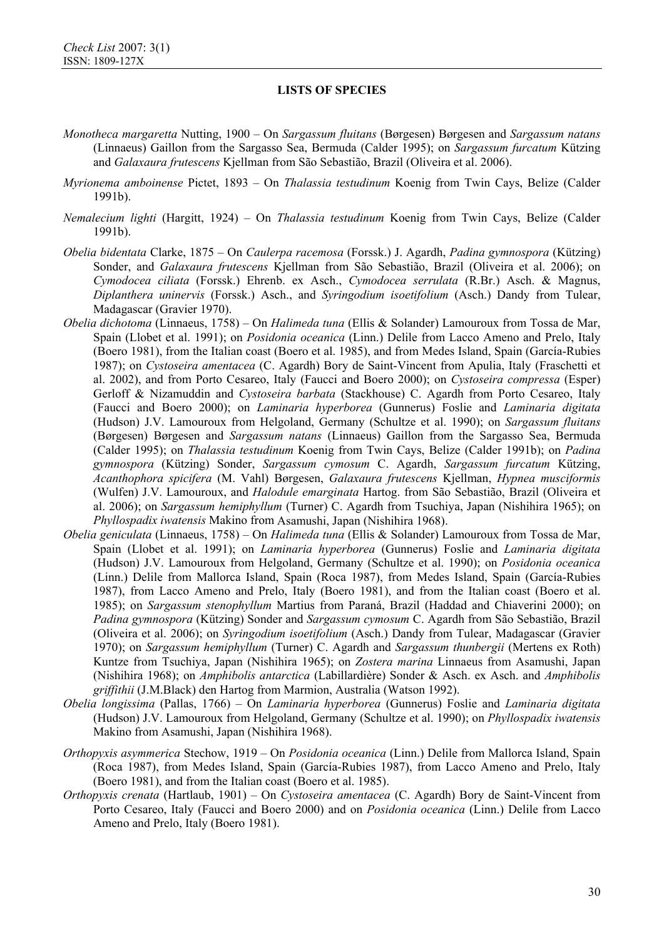- *Monotheca margaretta* Nutting, 1900 On *Sargassum fluitans* (Børgesen) Børgesen and *Sargassum natans* (Linnaeus) Gaillon from the Sargasso Sea, Bermuda (Calder 1995); on *Sargassum furcatum* Kützing and *Galaxaura frutescens* Kjellman from São Sebastião, Brazil (Oliveira et al. 2006).
- *Myrionema amboinense* Pictet, 1893 On *Thalassia testudinum* Koenig from Twin Cays, Belize (Calder 1991b).
- *Nemalecium lighti* (Hargitt, 1924) On *Thalassia testudinum* Koenig from Twin Cays, Belize (Calder 1991b).
- *Obelia bidentata* Clarke, 1875 On *Caulerpa racemosa* (Forssk.) J. Agardh, *Padina gymnospora* (Kützing) Sonder, and *Galaxaura frutescens* Kjellman from São Sebastião, Brazil (Oliveira et al. 2006); on *Cymodocea ciliata* (Forssk.) Ehrenb. ex Asch., *Cymodocea serrulata* (R.Br.) Asch. & Magnus, *Diplanthera uninervis* (Forssk.) Asch., and *Syringodium isoetifolium* (Asch.) Dandy from Tulear, Madagascar (Gravier 1970).
- *Obelia dichotoma* (Linnaeus, 1758) On *Halimeda tuna* (Ellis & Solander) Lamouroux from Tossa de Mar, Spain (Llobet et al. 1991); on *Posidonia oceanica* (Linn.) Delile from Lacco Ameno and Prelo, Italy (Boero 1981), from the Italian coast (Boero et al. 1985), and from Medes Island, Spain (García-Rubies 1987); on *Cystoseira amentacea* (C. Agardh) Bory de Saint-Vincent from Apulia, Italy (Fraschetti et al. 2002), and from Porto Cesareo, Italy (Faucci and Boero 2000); on *Cystoseira compressa* (Esper) Gerloff & Nizamuddin and *Cystoseira barbata* (Stackhouse) C. Agardh from Porto Cesareo, Italy (Faucci and Boero 2000); on *Laminaria hyperborea* (Gunnerus) Foslie and *Laminaria digitata* (Hudson) J.V. Lamouroux from Helgoland, Germany (Schultze et al. 1990); on *Sargassum fluitans*  (Børgesen) Børgesen and *Sargassum natans* (Linnaeus) Gaillon from the Sargasso Sea, Bermuda (Calder 1995); on *Thalassia testudinum* Koenig from Twin Cays, Belize (Calder 1991b); on *Padina gymnospora* (Kützing) Sonder, *Sargassum cymosum* C. Agardh, *Sargassum furcatum* Kützing, *Acanthophora spicifera* (M. Vahl) Børgesen, *Galaxaura frutescens* Kjellman, *Hypnea musciformis* (Wulfen) J.V. Lamouroux, and *Halodule emarginata* Hartog. from São Sebastião, Brazil (Oliveira et al. 2006); on *Sargassum hemiphyllum* (Turner) C. Agardh from Tsuchiya, Japan (Nishihira 1965); on *Phyllospadix iwatensis* Makino from Asamushi, Japan (Nishihira 1968).
- *Obelia geniculata* (Linnaeus, 1758) On *Halimeda tuna* (Ellis & Solander) Lamouroux from Tossa de Mar, Spain (Llobet et al. 1991); on *Laminaria hyperborea* (Gunnerus) Foslie and *Laminaria digitata* (Hudson) J.V. Lamouroux from Helgoland, Germany (Schultze et al. 1990); on *Posidonia oceanica* (Linn.) Delile from Mallorca Island, Spain (Roca 1987), from Medes Island, Spain (García-Rubies 1987), from Lacco Ameno and Prelo, Italy (Boero 1981), and from the Italian coast (Boero et al. 1985); on *Sargassum stenophyllum* Martius from Paraná, Brazil (Haddad and Chiaverini 2000); on *Padina gymnospora* (Kützing) Sonder and *Sargassum cymosum* C. Agardh from São Sebastião, Brazil (Oliveira et al. 2006); on *Syringodium isoetifolium* (Asch.) Dandy from Tulear, Madagascar (Gravier 1970); on *Sargassum hemiphyllum* (Turner) C. Agardh and *Sargassum thunbergii* (Mertens ex Roth) Kuntze from Tsuchiya, Japan (Nishihira 1965); on *Zostera marina* Linnaeus from Asamushi, Japan (Nishihira 1968); on *Amphibolis antarctica* (Labillardière) Sonder & Asch. ex Asch. and *Amphibolis griffithii* (J.M.Black) den Hartog from Marmion, Australia (Watson 1992).
- *Obelia longissima* (Pallas, 1766) On *Laminaria hyperborea* (Gunnerus) Foslie and *Laminaria digitata* (Hudson) J.V. Lamouroux from Helgoland, Germany (Schultze et al. 1990); on *Phyllospadix iwatensis* Makino from Asamushi, Japan (Nishihira 1968).
- *Orthopyxis asymmerica* Stechow, 1919 On *Posidonia oceanica* (Linn.) Delile from Mallorca Island, Spain (Roca 1987), from Medes Island, Spain (García-Rubies 1987), from Lacco Ameno and Prelo, Italy (Boero 1981), and from the Italian coast (Boero et al. 1985).
- *Orthopyxis crenata* (Hartlaub, 1901) On *Cystoseira amentacea* (C. Agardh) Bory de Saint-Vincent from Porto Cesareo, Italy (Faucci and Boero 2000) and on *Posidonia oceanica* (Linn.) Delile from Lacco Ameno and Prelo, Italy (Boero 1981).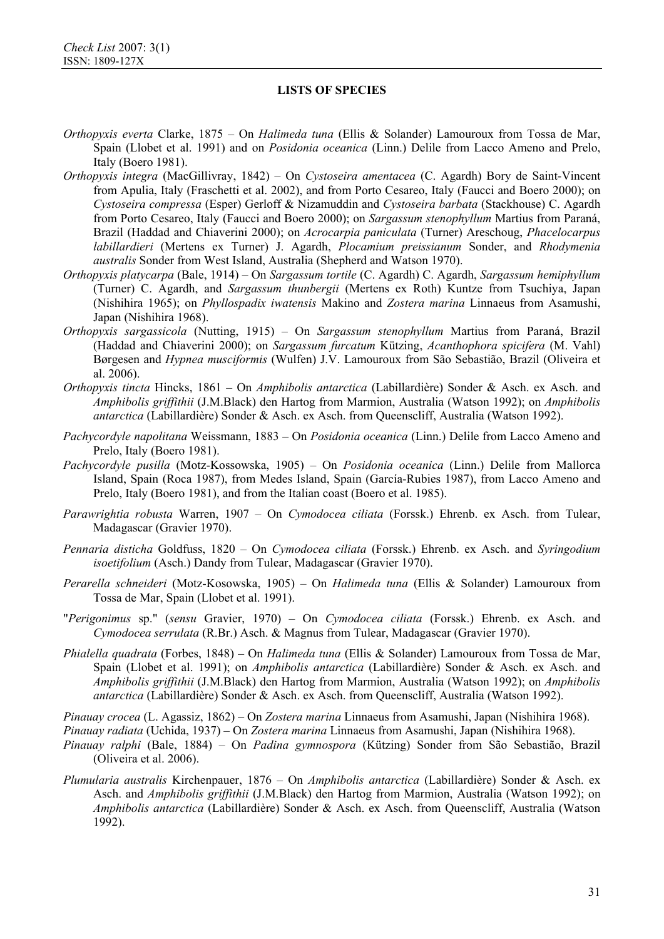*Orthopyxis everta* Clarke, 1875 – On *Halimeda tuna* (Ellis & Solander) Lamouroux from Tossa de Mar, Spain (Llobet et al. 1991) and on *Posidonia oceanica* (Linn.) Delile from Lacco Ameno and Prelo, Italy (Boero 1981).

- *Orthopyxis integra* (MacGillivray, 1842) On *Cystoseira amentacea* (C. Agardh) Bory de Saint-Vincent from Apulia, Italy (Fraschetti et al. 2002), and from Porto Cesareo, Italy (Faucci and Boero 2000); on *Cystoseira compressa* (Esper) Gerloff & Nizamuddin and *Cystoseira barbata* (Stackhouse) C. Agardh from Porto Cesareo, Italy (Faucci and Boero 2000); on *Sargassum stenophyllum* Martius from Paraná, Brazil (Haddad and Chiaverini 2000); on *Acrocarpia paniculata* (Turner) Areschoug, *Phacelocarpus labillardieri* (Mertens ex Turner) J. Agardh, *Plocamium preissianum* Sonder, and *Rhodymenia australis* Sonder from West Island, Australia (Shepherd and Watson 1970).
- *Orthopyxis platycarpa* (Bale, 1914) On *Sargassum tortile* (C. Agardh) C. Agardh, *Sargassum hemiphyllum* (Turner) C. Agardh, and *Sargassum thunbergii* (Mertens ex Roth) Kuntze from Tsuchiya, Japan (Nishihira 1965); on *Phyllospadix iwatensis* Makino and *Zostera marina* Linnaeus from Asamushi, Japan (Nishihira 1968).
- *Orthopyxis sargassicola* (Nutting, 1915) On *Sargassum stenophyllum* Martius from Paraná, Brazil (Haddad and Chiaverini 2000); on *Sargassum furcatum* Kützing, *Acanthophora spicifera* (M. Vahl) Børgesen and *Hypnea musciformis* (Wulfen) J.V. Lamouroux from São Sebastião, Brazil (Oliveira et al. 2006).
- *Orthopyxis tincta* Hincks, 1861 On *Amphibolis antarctica* (Labillardière) Sonder & Asch. ex Asch. and *Amphibolis griffithii* (J.M.Black) den Hartog from Marmion, Australia (Watson 1992); on *Amphibolis antarctica* (Labillardière) Sonder & Asch. ex Asch. from Queenscliff, Australia (Watson 1992).
- *Pachycordyle napolitana* Weissmann, 1883 On *Posidonia oceanica* (Linn.) Delile from Lacco Ameno and Prelo, Italy (Boero 1981).
- *Pachycordyle pusilla* (Motz-Kossowska, 1905) On *Posidonia oceanica* (Linn.) Delile from Mallorca Island, Spain (Roca 1987), from Medes Island, Spain (García-Rubies 1987), from Lacco Ameno and Prelo, Italy (Boero 1981), and from the Italian coast (Boero et al. 1985).
- *Parawrightia robusta* Warren, 1907 On *Cymodocea ciliata* (Forssk.) Ehrenb. ex Asch. from Tulear, Madagascar (Gravier 1970).
- *Pennaria disticha* Goldfuss, 1820 On *Cymodocea ciliata* (Forssk.) Ehrenb. ex Asch. and *Syringodium isoetifolium* (Asch.) Dandy from Tulear, Madagascar (Gravier 1970).
- *Perarella schneideri* (Motz-Kosowska, 1905) On *Halimeda tuna* (Ellis & Solander) Lamouroux from Tossa de Mar, Spain (Llobet et al. 1991).
- "*Perigonimus* sp." (*sensu* Gravier, 1970) On *Cymodocea ciliata* (Forssk.) Ehrenb. ex Asch. and *Cymodocea serrulata* (R.Br.) Asch. & Magnus from Tulear, Madagascar (Gravier 1970).
- *Phialella quadrata* (Forbes, 1848) On *Halimeda tuna* (Ellis & Solander) Lamouroux from Tossa de Mar, Spain (Llobet et al. 1991); on *Amphibolis antarctica* (Labillardière) Sonder & Asch. ex Asch. and *Amphibolis griffithii* (J.M.Black) den Hartog from Marmion, Australia (Watson 1992); on *Amphibolis antarctica* (Labillardière) Sonder & Asch. ex Asch. from Queenscliff, Australia (Watson 1992).

*Pinauay crocea* (L. Agassiz, 1862) – On *Zostera marina* Linnaeus from Asamushi, Japan (Nishihira 1968).

*Pinauay radiata* (Uchida, 1937) – On *Zostera marina* Linnaeus from Asamushi, Japan (Nishihira 1968).

- *Pinauay ralphi* (Bale, 1884) On *Padina gymnospora* (Kützing) Sonder from São Sebastião, Brazil (Oliveira et al. 2006).
- *Plumularia australis* Kirchenpauer, 1876 On *Amphibolis antarctica* (Labillardière) Sonder & Asch. ex Asch. and *Amphibolis griffithii* (J.M.Black) den Hartog from Marmion, Australia (Watson 1992); on *Amphibolis antarctica* (Labillardière) Sonder & Asch. ex Asch. from Queenscliff, Australia (Watson 1992).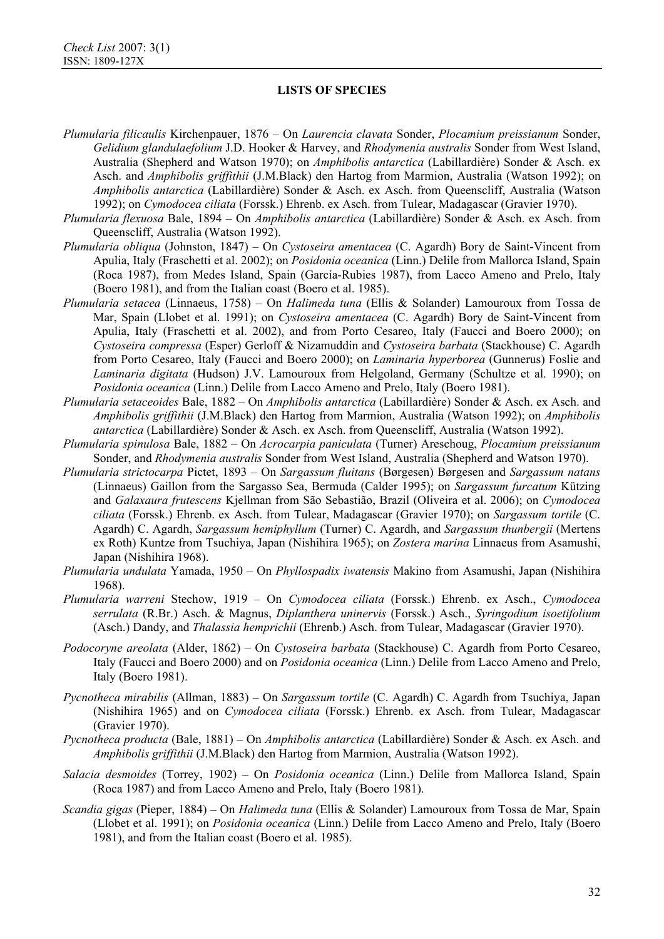- *Plumularia filicaulis* Kirchenpauer, 1876 On *Laurencia clavata* Sonder, *Plocamium preissianum* Sonder, *Gelidium glandulaefolium* J.D. Hooker & Harvey, and *Rhodymenia australis* Sonder from West Island, Australia (Shepherd and Watson 1970); on *Amphibolis antarctica* (Labillardière) Sonder & Asch. ex Asch. and *Amphibolis griffithii* (J.M.Black) den Hartog from Marmion, Australia (Watson 1992); on *Amphibolis antarctica* (Labillardière) Sonder & Asch. ex Asch. from Queenscliff, Australia (Watson 1992); on *Cymodocea ciliata* (Forssk.) Ehrenb. ex Asch. from Tulear, Madagascar (Gravier 1970).
- *Plumularia flexuosa* Bale, 1894 On *Amphibolis antarctica* (Labillardière) Sonder & Asch. ex Asch. from Queenscliff, Australia (Watson 1992).
- *Plumularia obliqua* (Johnston, 1847) On *Cystoseira amentacea* (C. Agardh) Bory de Saint-Vincent from Apulia, Italy (Fraschetti et al. 2002); on *Posidonia oceanica* (Linn.) Delile from Mallorca Island, Spain (Roca 1987), from Medes Island, Spain (García-Rubies 1987), from Lacco Ameno and Prelo, Italy (Boero 1981), and from the Italian coast (Boero et al. 1985).
- *Plumularia setacea* (Linnaeus, 1758) On *Halimeda tuna* (Ellis & Solander) Lamouroux from Tossa de Mar, Spain (Llobet et al. 1991); on *Cystoseira amentacea* (C. Agardh) Bory de Saint-Vincent from Apulia, Italy (Fraschetti et al. 2002), and from Porto Cesareo, Italy (Faucci and Boero 2000); on *Cystoseira compressa* (Esper) Gerloff & Nizamuddin and *Cystoseira barbata* (Stackhouse) C. Agardh from Porto Cesareo, Italy (Faucci and Boero 2000); on *Laminaria hyperborea* (Gunnerus) Foslie and *Laminaria digitata* (Hudson) J.V. Lamouroux from Helgoland, Germany (Schultze et al. 1990); on *Posidonia oceanica* (Linn.) Delile from Lacco Ameno and Prelo, Italy (Boero 1981).
- *Plumularia setaceoides* Bale, 1882 On *Amphibolis antarctica* (Labillardière) Sonder & Asch. ex Asch. and *Amphibolis griffithii* (J.M.Black) den Hartog from Marmion, Australia (Watson 1992); on *Amphibolis antarctica* (Labillardière) Sonder & Asch. ex Asch. from Queenscliff, Australia (Watson 1992).
- *Plumularia spinulosa* Bale, 1882 On *Acrocarpia paniculata* (Turner) Areschoug, *Plocamium preissianum* Sonder, and *Rhodymenia australis* Sonder from West Island, Australia (Shepherd and Watson 1970).
- *Plumularia strictocarpa* Pictet, 1893 On *Sargassum fluitans* (Børgesen) Børgesen and *Sargassum natans*  (Linnaeus) Gaillon from the Sargasso Sea, Bermuda (Calder 1995); on *Sargassum furcatum* Kützing and *Galaxaura frutescens* Kjellman from São Sebastião, Brazil (Oliveira et al. 2006); on *Cymodocea ciliata* (Forssk.) Ehrenb. ex Asch. from Tulear, Madagascar (Gravier 1970); on *Sargassum tortile* (C. Agardh) C. Agardh, *Sargassum hemiphyllum* (Turner) C. Agardh, and *Sargassum thunbergii* (Mertens ex Roth) Kuntze from Tsuchiya, Japan (Nishihira 1965); on *Zostera marina* Linnaeus from Asamushi, Japan (Nishihira 1968).
- *Plumularia undulata* Yamada, 1950 On *Phyllospadix iwatensis* Makino from Asamushi, Japan (Nishihira 1968).
- *Plumularia warreni* Stechow, 1919 On *Cymodocea ciliata* (Forssk.) Ehrenb. ex Asch., *Cymodocea serrulata* (R.Br.) Asch. & Magnus, *Diplanthera uninervis* (Forssk.) Asch., *Syringodium isoetifolium* (Asch.) Dandy, and *Thalassia hemprichii* (Ehrenb.) Asch. from Tulear, Madagascar (Gravier 1970).
- *Podocoryne areolata* (Alder, 1862) On *Cystoseira barbata* (Stackhouse) C. Agardh from Porto Cesareo, Italy (Faucci and Boero 2000) and on *Posidonia oceanica* (Linn.) Delile from Lacco Ameno and Prelo, Italy (Boero 1981).
- *Pycnotheca mirabilis* (Allman, 1883) On *Sargassum tortile* (C. Agardh) C. Agardh from Tsuchiya, Japan (Nishihira 1965) and on *Cymodocea ciliata* (Forssk.) Ehrenb. ex Asch. from Tulear, Madagascar (Gravier 1970).
- *Pycnotheca producta* (Bale, 1881) On *Amphibolis antarctica* (Labillardière) Sonder & Asch. ex Asch. and *Amphibolis griffithii* (J.M.Black) den Hartog from Marmion, Australia (Watson 1992).
- *Salacia desmoides* (Torrey, 1902) On *Posidonia oceanica* (Linn.) Delile from Mallorca Island, Spain (Roca 1987) and from Lacco Ameno and Prelo, Italy (Boero 1981).
- *Scandia gigas* (Pieper, 1884) On *Halimeda tuna* (Ellis & Solander) Lamouroux from Tossa de Mar, Spain (Llobet et al. 1991); on *Posidonia oceanica* (Linn.) Delile from Lacco Ameno and Prelo, Italy (Boero 1981), and from the Italian coast (Boero et al. 1985).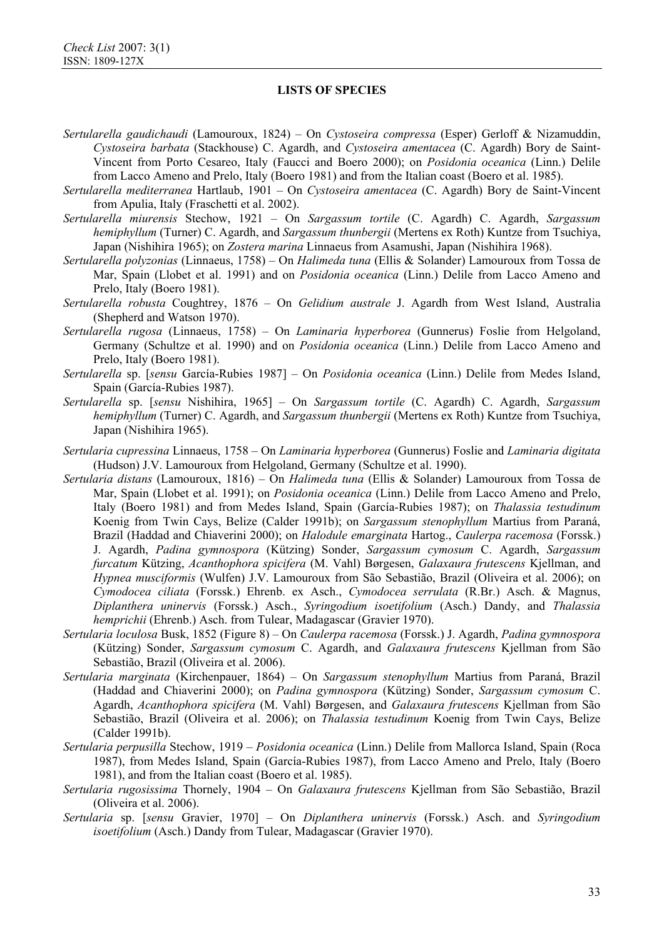- *Sertularella gaudichaudi* (Lamouroux, 1824) On *Cystoseira compressa* (Esper) Gerloff & Nizamuddin, *Cystoseira barbata* (Stackhouse) C. Agardh, and *Cystoseira amentacea* (C. Agardh) Bory de Saint-Vincent from Porto Cesareo, Italy (Faucci and Boero 2000); on *Posidonia oceanica* (Linn.) Delile from Lacco Ameno and Prelo, Italy (Boero 1981) and from the Italian coast (Boero et al. 1985).
- *Sertularella mediterranea* Hartlaub, 1901 On *Cystoseira amentacea* (C. Agardh) Bory de Saint-Vincent from Apulia, Italy (Fraschetti et al. 2002).
- *Sertularella miurensis* Stechow, 1921 On *Sargassum tortile* (C. Agardh) C. Agardh, *Sargassum hemiphyllum* (Turner) C. Agardh, and *Sargassum thunbergii* (Mertens ex Roth) Kuntze from Tsuchiya, Japan (Nishihira 1965); on *Zostera marina* Linnaeus from Asamushi, Japan (Nishihira 1968).
- *Sertularella polyzonias* (Linnaeus, 1758) On *Halimeda tuna* (Ellis & Solander) Lamouroux from Tossa de Mar, Spain (Llobet et al. 1991) and on *Posidonia oceanica* (Linn.) Delile from Lacco Ameno and Prelo, Italy (Boero 1981).
- *Sertularella robusta* Coughtrey, 1876 On *Gelidium australe* J. Agardh from West Island, Australia (Shepherd and Watson 1970).
- *Sertularella rugosa* (Linnaeus, 1758) On *Laminaria hyperborea* (Gunnerus) Foslie from Helgoland, Germany (Schultze et al. 1990) and on *Posidonia oceanica* (Linn.) Delile from Lacco Ameno and Prelo, Italy (Boero 1981).
- *Sertularella* sp. [*sensu* García-Rubies 1987] On *Posidonia oceanica* (Linn.) Delile from Medes Island, Spain (García-Rubies 1987).
- *Sertularella* sp. [*sensu* Nishihira, 1965] On *Sargassum tortile* (C. Agardh) C. Agardh, *Sargassum hemiphyllum* (Turner) C. Agardh, and *Sargassum thunbergii* (Mertens ex Roth) Kuntze from Tsuchiya, Japan (Nishihira 1965).
- *Sertularia cupressina* Linnaeus, 1758 On *Laminaria hyperborea* (Gunnerus) Foslie and *Laminaria digitata* (Hudson) J.V. Lamouroux from Helgoland, Germany (Schultze et al. 1990).
- *Sertularia distans* (Lamouroux, 1816) On *Halimeda tuna* (Ellis & Solander) Lamouroux from Tossa de Mar, Spain (Llobet et al. 1991); on *Posidonia oceanica* (Linn.) Delile from Lacco Ameno and Prelo, Italy (Boero 1981) and from Medes Island, Spain (García-Rubies 1987); on *Thalassia testudinum* Koenig from Twin Cays, Belize (Calder 1991b); on *Sargassum stenophyllum* Martius from Paraná, Brazil (Haddad and Chiaverini 2000); on *Halodule emarginata* Hartog., *Caulerpa racemosa* (Forssk.) J. Agardh, *Padina gymnospora* (Kützing) Sonder, *Sargassum cymosum* C. Agardh, *Sargassum furcatum* Kützing, *Acanthophora spicifera* (M. Vahl) Børgesen, *Galaxaura frutescens* Kjellman, and *Hypnea musciformis* (Wulfen) J.V. Lamouroux from São Sebastião, Brazil (Oliveira et al. 2006); on *Cymodocea ciliata* (Forssk.) Ehrenb. ex Asch., *Cymodocea serrulata* (R.Br.) Asch. & Magnus, *Diplanthera uninervis* (Forssk.) Asch., *Syringodium isoetifolium* (Asch.) Dandy, and *Thalassia hemprichii* (Ehrenb.) Asch. from Tulear, Madagascar (Gravier 1970).
- *Sertularia loculosa* Busk, 1852 (Figure 8) On *Caulerpa racemosa* (Forssk.) J. Agardh, *Padina gymnospora* (Kützing) Sonder, *Sargassum cymosum* C. Agardh, and *Galaxaura frutescens* Kjellman from São Sebastião, Brazil (Oliveira et al. 2006).
- *Sertularia marginata* (Kirchenpauer, 1864) On *Sargassum stenophyllum* Martius from Paraná, Brazil (Haddad and Chiaverini 2000); on *Padina gymnospora* (Kützing) Sonder, *Sargassum cymosum* C. Agardh, *Acanthophora spicifera* (M. Vahl) Børgesen, and *Galaxaura frutescens* Kjellman from São Sebastião, Brazil (Oliveira et al. 2006); on *Thalassia testudinum* Koenig from Twin Cays, Belize (Calder 1991b).
- *Sertularia perpusilla* Stechow, 1919 *Posidonia oceanica* (Linn.) Delile from Mallorca Island, Spain (Roca 1987), from Medes Island, Spain (García-Rubies 1987), from Lacco Ameno and Prelo, Italy (Boero 1981), and from the Italian coast (Boero et al. 1985).
- *Sertularia rugosissima* Thornely, 1904 On *Galaxaura frutescens* Kjellman from São Sebastião, Brazil (Oliveira et al. 2006).
- *Sertularia* sp. [*sensu* Gravier, 1970] On *Diplanthera uninervis* (Forssk.) Asch. and *Syringodium isoetifolium* (Asch.) Dandy from Tulear, Madagascar (Gravier 1970).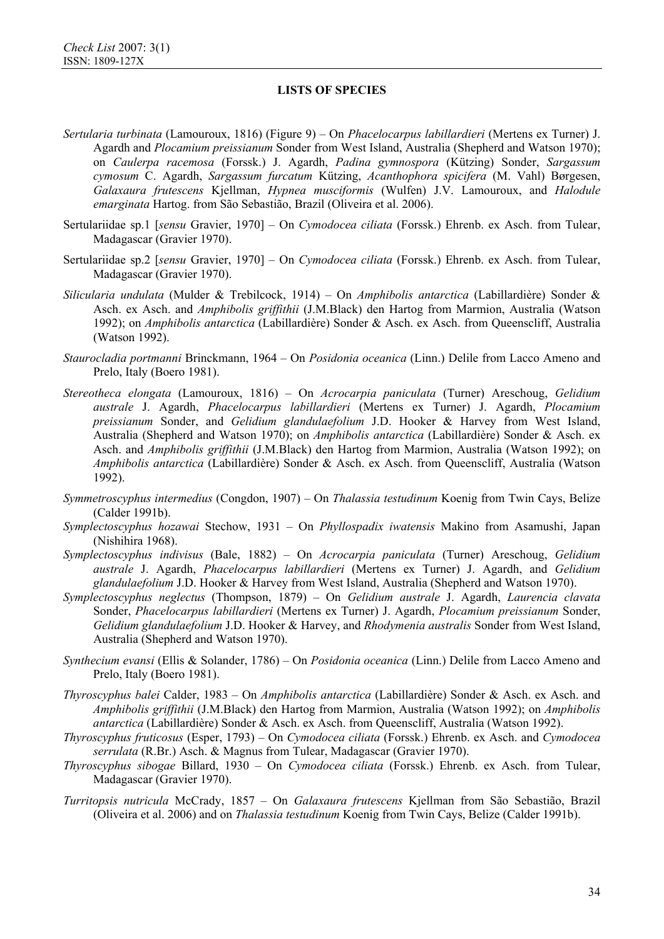- *Sertularia turbinata* (Lamouroux, 1816) (Figure 9) On *Phacelocarpus labillardieri* (Mertens ex Turner) J. Agardh and *Plocamium preissianum* Sonder from West Island, Australia (Shepherd and Watson 1970); on *Caulerpa racemosa* (Forssk.) J. Agardh, *Padina gymnospora* (Kützing) Sonder, *Sargassum cymosum* C. Agardh, *Sargassum furcatum* Kützing, *Acanthophora spicifera* (M. Vahl) Børgesen, *Galaxaura frutescens* Kjellman, *Hypnea musciformis* (Wulfen) J.V. Lamouroux, and *Halodule emarginata* Hartog. from São Sebastião, Brazil (Oliveira et al. 2006).
- Sertulariidae sp.1 [*sensu* Gravier, 1970] On *Cymodocea ciliata* (Forssk.) Ehrenb. ex Asch. from Tulear, Madagascar (Gravier 1970).
- Sertulariidae sp.2 [*sensu* Gravier, 1970] On *Cymodocea ciliata* (Forssk.) Ehrenb. ex Asch. from Tulear, Madagascar (Gravier 1970).
- *Silicularia undulata* (Mulder & Trebilcock, 1914) On *Amphibolis antarctica* (Labillardière) Sonder & Asch. ex Asch. and *Amphibolis griffithii* (J.M.Black) den Hartog from Marmion, Australia (Watson 1992); on *Amphibolis antarctica* (Labillardière) Sonder & Asch. ex Asch. from Queenscliff, Australia (Watson 1992).
- *Staurocladia portmanni* Brinckmann, 1964 On *Posidonia oceanica* (Linn.) Delile from Lacco Ameno and Prelo, Italy (Boero 1981).
- *Stereotheca elongata* (Lamouroux, 1816) On *Acrocarpia paniculata* (Turner) Areschoug, *Gelidium australe* J. Agardh, *Phacelocarpus labillardieri* (Mertens ex Turner) J. Agardh, *Plocamium preissianum* Sonder, and *Gelidium glandulaefolium* J.D. Hooker & Harvey from West Island, Australia (Shepherd and Watson 1970); on *Amphibolis antarctica* (Labillardière) Sonder & Asch. ex Asch. and *Amphibolis griffithii* (J.M.Black) den Hartog from Marmion, Australia (Watson 1992); on *Amphibolis antarctica* (Labillardière) Sonder & Asch. ex Asch. from Queenscliff, Australia (Watson 1992).
- *Symmetroscyphus intermedius* (Congdon, 1907) On *Thalassia testudinum* Koenig from Twin Cays, Belize (Calder 1991b).
- *Symplectoscyphus hozawai* Stechow, 1931 On *Phyllospadix iwatensis* Makino from Asamushi, Japan (Nishihira 1968).
- *Symplectoscyphus indivisus* (Bale, 1882) On *Acrocarpia paniculata* (Turner) Areschoug, *Gelidium australe* J. Agardh, *Phacelocarpus labillardieri* (Mertens ex Turner) J. Agardh, and *Gelidium glandulaefolium* J.D. Hooker & Harvey from West Island, Australia (Shepherd and Watson 1970).
- *Symplectoscyphus neglectus* (Thompson, 1879) On *Gelidium australe* J. Agardh, *Laurencia clavata* Sonder, *Phacelocarpus labillardieri* (Mertens ex Turner) J. Agardh, *Plocamium preissianum* Sonder, *Gelidium glandulaefolium* J.D. Hooker & Harvey, and *Rhodymenia australis* Sonder from West Island, Australia (Shepherd and Watson 1970).
- *Synthecium evansi* (Ellis & Solander, 1786) On *Posidonia oceanica* (Linn.) Delile from Lacco Ameno and Prelo, Italy (Boero 1981).
- *Thyroscyphus balei* Calder, 1983 On *Amphibolis antarctica* (Labillardière) Sonder & Asch. ex Asch. and *Amphibolis griffithii* (J.M.Black) den Hartog from Marmion, Australia (Watson 1992); on *Amphibolis antarctica* (Labillardière) Sonder & Asch. ex Asch. from Queenscliff, Australia (Watson 1992).
- *Thyroscyphus fruticosus* (Esper, 1793) On *Cymodocea ciliata* (Forssk.) Ehrenb. ex Asch. and *Cymodocea serrulata* (R.Br.) Asch. & Magnus from Tulear, Madagascar (Gravier 1970).
- *Thyroscyphus sibogae* Billard, 1930 On *Cymodocea ciliata* (Forssk.) Ehrenb. ex Asch. from Tulear, Madagascar (Gravier 1970).
- *Turritopsis nutricula* McCrady, 1857 On *Galaxaura frutescens* Kjellman from São Sebastião, Brazil (Oliveira et al. 2006) and on *Thalassia testudinum* Koenig from Twin Cays, Belize (Calder 1991b).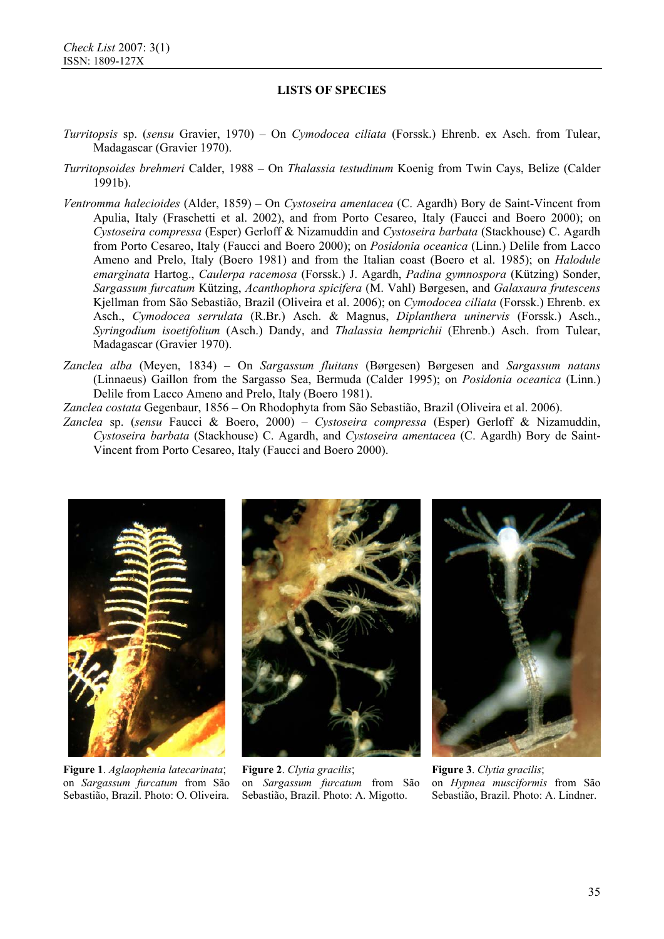- *Turritopsis* sp. (*sensu* Gravier, 1970) On *Cymodocea ciliata* (Forssk.) Ehrenb. ex Asch. from Tulear, Madagascar (Gravier 1970).
- *Turritopsoides brehmeri* Calder, 1988 On *Thalassia testudinum* Koenig from Twin Cays, Belize (Calder 1991b).
- *Ventromma halecioides* (Alder, 1859) On *Cystoseira amentacea* (C. Agardh) Bory de Saint-Vincent from Apulia, Italy (Fraschetti et al. 2002), and from Porto Cesareo, Italy (Faucci and Boero 2000); on *Cystoseira compressa* (Esper) Gerloff & Nizamuddin and *Cystoseira barbata* (Stackhouse) C. Agardh from Porto Cesareo, Italy (Faucci and Boero 2000); on *Posidonia oceanica* (Linn.) Delile from Lacco Ameno and Prelo, Italy (Boero 1981) and from the Italian coast (Boero et al. 1985); on *Halodule emarginata* Hartog., *Caulerpa racemosa* (Forssk.) J. Agardh, *Padina gymnospora* (Kützing) Sonder, *Sargassum furcatum* Kützing, *Acanthophora spicifera* (M. Vahl) Børgesen, and *Galaxaura frutescens* Kjellman from São Sebastião, Brazil (Oliveira et al. 2006); on *Cymodocea ciliata* (Forssk.) Ehrenb. ex Asch., *Cymodocea serrulata* (R.Br.) Asch. & Magnus, *Diplanthera uninervis* (Forssk.) Asch., *Syringodium isoetifolium* (Asch.) Dandy, and *Thalassia hemprichii* (Ehrenb.) Asch. from Tulear, Madagascar (Gravier 1970).
- *Zanclea alba* (Meyen, 1834) On *Sargassum fluitans* (Børgesen) Børgesen and *Sargassum natans*  (Linnaeus) Gaillon from the Sargasso Sea, Bermuda (Calder 1995); on *Posidonia oceanica* (Linn.) Delile from Lacco Ameno and Prelo, Italy (Boero 1981).
- *Zanclea costata* Gegenbaur, 1856 On Rhodophyta from São Sebastião, Brazil (Oliveira et al. 2006).
- *Zanclea* sp. (*sensu* Faucci & Boero, 2000) *Cystoseira compressa* (Esper) Gerloff & Nizamuddin, *Cystoseira barbata* (Stackhouse) C. Agardh, and *Cystoseira amentacea* (C. Agardh) Bory de Saint-Vincent from Porto Cesareo, Italy (Faucci and Boero 2000).



**Figure 1**. *Aglaophenia latecarinata*; on *Sargassum furcatum* from São Sebastião, Brazil. Photo: O. Oliveira.



**Figure 2**. *Clytia gracilis*; on *Sargassum furcatum* from São Sebastião, Brazil. Photo: A. Migotto.



**Figure 3**. *Clytia gracilis*; on *Hypnea musciformis* from São Sebastião, Brazil. Photo: A. Lindner.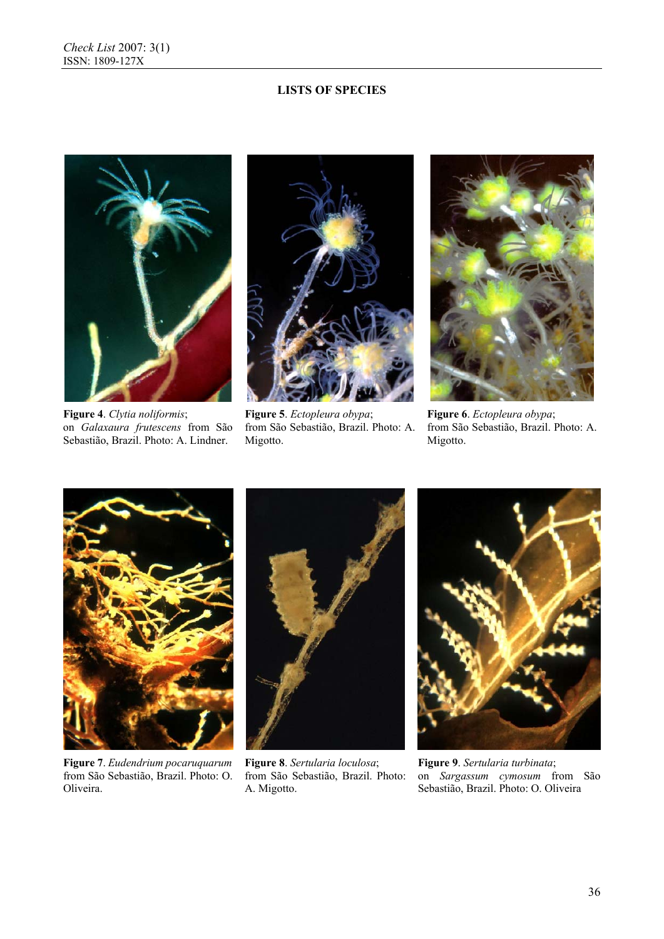

**Figure 4**. *Clytia noliformis*; on *Galaxaura frutescens* from São Sebastião, Brazil. Photo: A. Lindner.



**Figure 5**. *Ectopleura obypa*; from São Sebastião, Brazil. Photo: A. Migotto.



**Figure 6**. *Ectopleura obypa*; from São Sebastião, Brazil. Photo: A. Migotto.



**Figure 7**. *Eudendrium pocaruquarum*  from São Sebastião, Brazil. Photo: O. Oliveira.



**Figure 8**. *Sertularia loculosa*; from São Sebastião, Brazil. Photo: A. Migotto.



**Figure 9**. *Sertularia turbinata*; on *Sargassum cymosum* from São Sebastião, Brazil. Photo: O. Oliveira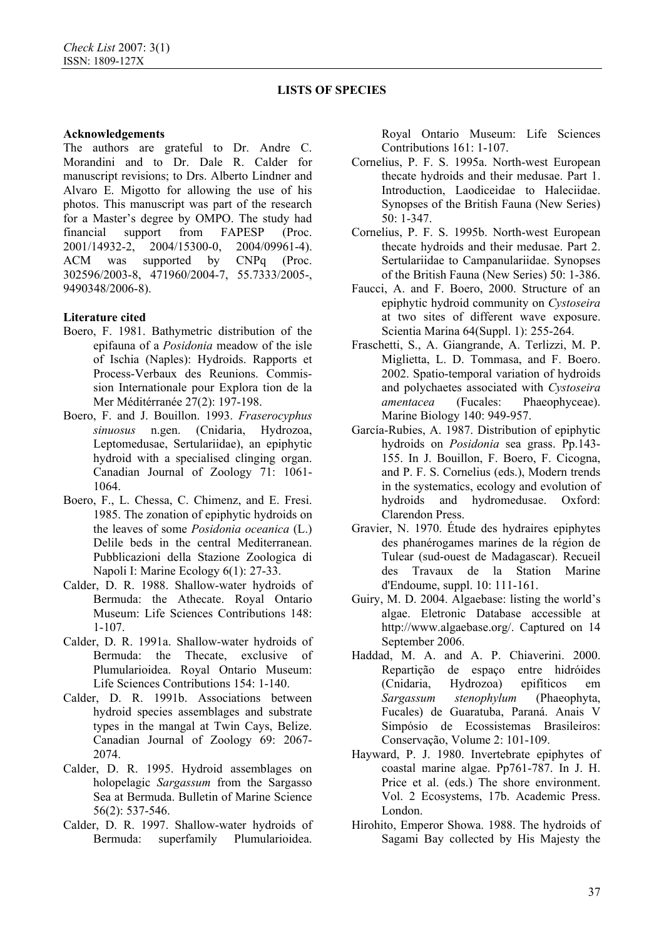### **Acknowledgements**

The authors are grateful to Dr. Andre C. Morandini and to Dr. Dale R. Calder for manuscript revisions; to Drs. Alberto Lindner and Alvaro E. Migotto for allowing the use of his photos. This manuscript was part of the research for a Master's degree by OMPO. The study had financial support from FAPESP (Proc. 2001/14932-2, 2004/15300-0, 2004/09961-4). ACM was supported by CNPq (Proc. 302596/2003-8, 471960/2004-7, 55.7333/2005-, 9490348/2006-8).

# **Literature cited**

- Boero, F. 1981. Bathymetric distribution of the epifauna of a *Posidonia* meadow of the isle of Ischia (Naples): Hydroids. Rapports et Process-Verbaux des Reunions. Commission Internationale pour Explora tion de la Mer Méditérranée 27(2): 197-198.
- Boero, F. and J. Bouillon. 1993. *Fraserocyphus sinuosus* n.gen. (Cnidaria, Hydrozoa, Leptomedusae, Sertulariidae), an epiphytic hydroid with a specialised clinging organ. Canadian Journal of Zoology 71: 1061- 1064.
- Boero, F., L. Chessa, C. Chimenz, and E. Fresi. 1985. The zonation of epiphytic hydroids on the leaves of some *Posidonia oceanica* (L.) Delile beds in the central Mediterranean. Pubblicazioni della Stazione Zoologica di Napoli I: Marine Ecology 6(1): 27-33.
- Calder, D. R. 1988. Shallow-water hydroids of Bermuda: the Athecate. Royal Ontario Museum: Life Sciences Contributions 148: 1-107.
- Calder, D. R. 1991a. Shallow-water hydroids of Bermuda: the Thecate, exclusive of Plumularioidea. Royal Ontario Museum: Life Sciences Contributions 154: 1-140.
- Calder, D. R. 1991b. Associations between hydroid species assemblages and substrate types in the mangal at Twin Cays, Belize. Canadian Journal of Zoology 69: 2067- 2074.
- Calder, D. R. 1995. Hydroid assemblages on holopelagic *Sargassum* from the Sargasso Sea at Bermuda. Bulletin of Marine Science 56(2): 537-546.
- Calder, D. R. 1997. Shallow-water hydroids of Bermuda: superfamily Plumularioidea.

Royal Ontario Museum: Life Sciences Contributions 161: 1-107.

- Cornelius, P. F. S. 1995a. North-west European thecate hydroids and their medusae. Part 1. Introduction, Laodiceidae to Haleciidae. Synopses of the British Fauna (New Series) 50: 1-347.
- Cornelius, P. F. S. 1995b. North-west European thecate hydroids and their medusae. Part 2. Sertulariidae to Campanulariidae. Synopses of the British Fauna (New Series) 50: 1-386.
- Faucci, A. and F. Boero, 2000. Structure of an epiphytic hydroid community on *Cystoseira* at two sites of different wave exposure. Scientia Marina 64(Suppl. 1): 255-264.
- Fraschetti, S., A. Giangrande, A. Terlizzi, M. P. Miglietta, L. D. Tommasa, and F. Boero. 2002. Spatio-temporal variation of hydroids and polychaetes associated with *Cystoseira amentacea* (Fucales: Phaeophyceae). Marine Biology 140: 949-957.
- García-Rubies, A. 1987. Distribution of epiphytic hydroids on *Posidonia* sea grass. Pp.143- 155. In J. Bouillon, F. Boero, F. Cicogna, and P. F. S. Cornelius (eds.), Modern trends in the systematics, ecology and evolution of hydroids and hydromedusae. Oxford: Clarendon Press.
- Gravier, N. 1970. Étude des hydraires epiphytes des phanérogames marines de la région de Tulear (sud-ouest de Madagascar). Recueil des Travaux de la Station Marine d'Endoume, suppl. 10: 111-161.
- Guiry, M. D. 2004. Algaebase: listing the world's algae. Eletronic Database accessible at http://www.algaebase.org/. Captured on 14 September 2006.
- Haddad, M. A. and A. P. Chiaverini. 2000. Repartição de espaço entre hidróides (Cnidaria, Hydrozoa) epifíticos em *Sargassum stenophylum* (Phaeophyta, Fucales) de Guaratuba, Paraná. Anais V Simpósio de Ecossistemas Brasileiros: Conservação, Volume 2: 101-109.
- Hayward, P. J. 1980. Invertebrate epiphytes of coastal marine algae. Pp761-787. In J. H. Price et al. (eds.) The shore environment. Vol. 2 Ecosystems, 17b. Academic Press. London.
- Hirohito, Emperor Showa. 1988. The hydroids of Sagami Bay collected by His Majesty the